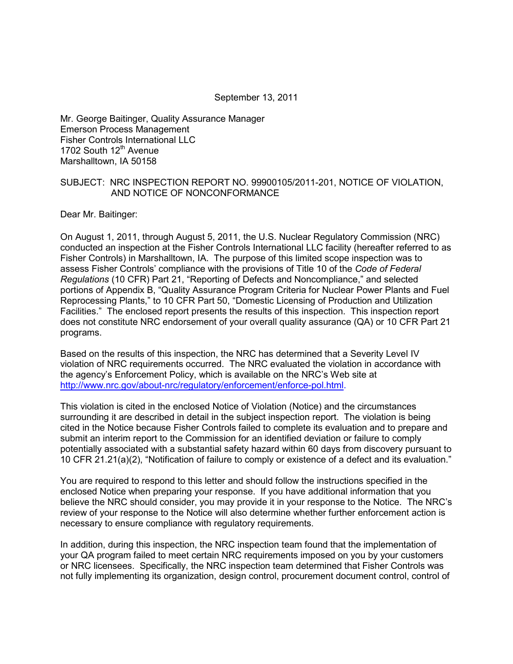#### September 13, 2011

Mr. George Baitinger, Quality Assurance Manager Emerson Process Management Fisher Controls International LLC 1702 South 12<sup>th</sup> Avenue Marshalltown, IA 50158

#### SUBJECT: NRC INSPECTION REPORT NO. 99900105/2011-201, NOTICE OF VIOLATION, AND NOTICE OF NONCONFORMANCE

Dear Mr. Baitinger:

On August 1, 2011, through August 5, 2011, the U.S. Nuclear Regulatory Commission (NRC) conducted an inspection at the Fisher Controls International LLC facility (hereafter referred to as Fisher Controls) in Marshalltown, IA. The purpose of this limited scope inspection was to assess Fisher Controls' compliance with the provisions of Title 10 of the *Code of Federal Regulations* (10 CFR) Part 21, "Reporting of Defects and Noncompliance," and selected portions of Appendix B, "Quality Assurance Program Criteria for Nuclear Power Plants and Fuel Reprocessing Plants," to 10 CFR Part 50, "Domestic Licensing of Production and Utilization Facilities." The enclosed report presents the results of this inspection. This inspection report does not constitute NRC endorsement of your overall quality assurance (QA) or 10 CFR Part 21 programs.

Based on the results of this inspection, the NRC has determined that a Severity Level IV violation of NRC requirements occurred. The NRC evaluated the violation in accordance with the agency's Enforcement Policy, which is available on the NRC's Web site at [http://www.nrc.gov/about-nrc/regulatory/enforcement/enforce-pol.html.](http://www.nrc.gov/about-nrc/regulatory/enforcement/enforce-pol.html)

This violation is cited in the enclosed Notice of Violation (Notice) and the circumstances surrounding it are described in detail in the subject inspection report. The violation is being cited in the Notice because Fisher Controls failed to complete its evaluation and to prepare and submit an interim report to the Commission for an identified deviation or failure to comply potentially associated with a substantial safety hazard within 60 days from discovery pursuant to 10 CFR 21.21(a)(2), "Notification of failure to comply or existence of a defect and its evaluation."

You are required to respond to this letter and should follow the instructions specified in the enclosed Notice when preparing your response. If you have additional information that you believe the NRC should consider, you may provide it in your response to the Notice. The NRC's review of your response to the Notice will also determine whether further enforcement action is necessary to ensure compliance with regulatory requirements.

In addition, during this inspection, the NRC inspection team found that the implementation of your QA program failed to meet certain NRC requirements imposed on you by your customers or NRC licensees. Specifically, the NRC inspection team determined that Fisher Controls was not fully implementing its organization, design control, procurement document control, control of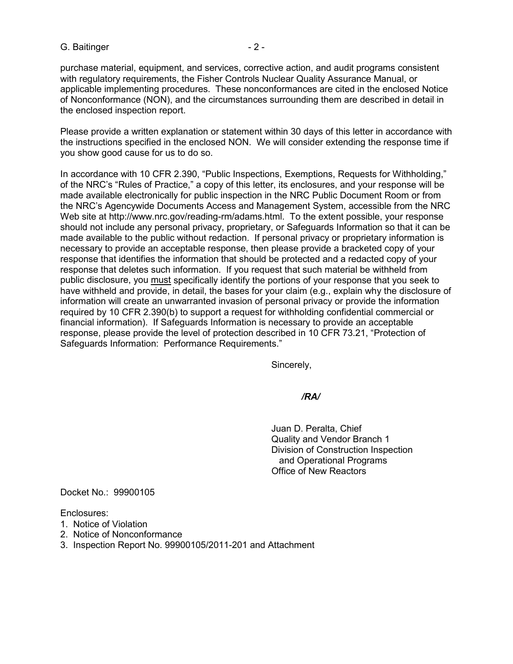#### G. Baitinger **- 2 -** 2 -

purchase material, equipment, and services, corrective action, and audit programs consistent with regulatory requirements, the Fisher Controls Nuclear Quality Assurance Manual, or applicable implementing procedures. These nonconformances are cited in the enclosed Notice of Nonconformance (NON), and the circumstances surrounding them are described in detail in the enclosed inspection report.

Please provide a written explanation or statement within 30 days of this letter in accordance with the instructions specified in the enclosed NON. We will consider extending the response time if you show good cause for us to do so.

In accordance with 10 CFR 2.390, "Public Inspections, Exemptions, Requests for Withholding," of the NRC's "Rules of Practice," a copy of this letter, its enclosures, and your response will be made available electronically for public inspection in the NRC Public Document Room or from the NRC's Agencywide Documents Access and Management System, accessible from the NRC Web site at [http://www.nrc.gov/reading-rm/adams.html.](http://www.nrc.gov/reading-rm/adams.html) To the extent possible, your response should not include any personal privacy, proprietary, or Safeguards Information so that it can be made available to the public without redaction. If personal privacy or proprietary information is necessary to provide an acceptable response, then please provide a bracketed copy of your response that identifies the information that should be protected and a redacted copy of your response that deletes such information. If you request that such material be withheld from public disclosure, you must specifically identify the portions of your response that you seek to have withheld and provide, in detail, the bases for your claim (e.g., explain why the disclosure of information will create an unwarranted invasion of personal privacy or provide the information required by 10 CFR 2.390(b) to support a request for withholding confidential commercial or financial information). If Safeguards Information is necessary to provide an acceptable response, please provide the level of protection described in 10 CFR 73.21, "Protection of Safeguards Information: Performance Requirements."

Sincerely,

#### */RA/*

Juan D. Peralta, Chief Quality and Vendor Branch 1 Division of Construction Inspection and Operational Programs Office of New Reactors

Docket No.: 99900105

Enclosures:

- 1. Notice of Violation
- 2. Notice of Nonconformance
- 3. Inspection Report No. 99900105/2011-201 and Attachment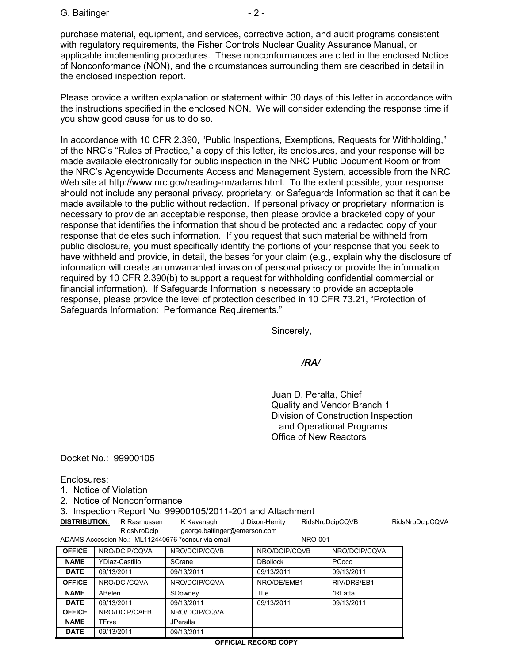purchase material, equipment, and services, corrective action, and audit programs consistent with regulatory requirements, the Fisher Controls Nuclear Quality Assurance Manual, or applicable implementing procedures. These nonconformances are cited in the enclosed Notice of Nonconformance (NON), and the circumstances surrounding them are described in detail in the enclosed inspection report.

Please provide a written explanation or statement within 30 days of this letter in accordance with the instructions specified in the enclosed NON. We will consider extending the response time if you show good cause for us to do so.

In accordance with 10 CFR 2.390, "Public Inspections, Exemptions, Requests for Withholding," of the NRC's "Rules of Practice," a copy of this letter, its enclosures, and your response will be made available electronically for public inspection in the NRC Public Document Room or from the NRC's Agencywide Documents Access and Management System, accessible from the NRC Web site at [http://www.nrc.gov/reading-rm/adams.html.](http://www.nrc.gov/reading-rm/adams.html) To the extent possible, your response should not include any personal privacy, proprietary, or Safeguards Information so that it can be made available to the public without redaction. If personal privacy or proprietary information is necessary to provide an acceptable response, then please provide a bracketed copy of your response that identifies the information that should be protected and a redacted copy of your response that deletes such information. If you request that such material be withheld from public disclosure, you must specifically identify the portions of your response that you seek to have withheld and provide, in detail, the bases for your claim (e.g., explain why the disclosure of information will create an unwarranted invasion of personal privacy or provide the information required by 10 CFR 2.390(b) to support a request for withholding confidential commercial or financial information). If Safeguards Information is necessary to provide an acceptable response, please provide the level of protection described in 10 CFR 73.21, "Protection of Safeguards Information: Performance Requirements."

Sincerely,

*/RA/*

Juan D. Peralta, Chief Quality and Vendor Branch 1 Division of Construction Inspection and Operational Programs Office of New Reactors

Docket No.: 99900105

Enclosures:

- 1. Notice of Violation
- 2. Notice of Nonconformance

3. Inspection Report No. 99900105/2011-201 and Attachment

**DISTRIBUTION:** R Rasmussen K Kavanagh J Dixon-Herrity RidsNroDcipCQVB RidsNroDcipCQVA RidsNroDcip [george.baitinger@emerson.com](mailto:george.baitinger@emerson.com) ADAMS Accession No.: ML112440676 \*concur via email NRO-001

| <b>OFFICE</b> | NRO/DCIP/CQVA  | NRO/DCIP/CQVB   | NRO/DCIP/CQVB   | NRO/DCIP/CQVA |
|---------------|----------------|-----------------|-----------------|---------------|
| <b>NAME</b>   | YDiaz-Castillo | SCrane          | <b>DBollock</b> | PCoco         |
| <b>DATE</b>   | 09/13/2011     | 09/13/2011      | 09/13/2011      | 09/13/2011    |
| <b>OFFICE</b> | NRO/DCI/CQVA   | NRO/DCIP/CQVA   | NRO/DE/EMB1     | RIV/DRS/EB1   |
| <b>NAME</b>   | ABelen         | SDowney         | TLe             | *RLatta       |
| <b>DATE</b>   | 09/13/2011     | 09/13/2011      | 09/13/2011      | 09/13/2011    |
| <b>OFFICE</b> | NRO/DCIP/CAEB  | NRO/DCIP/CQVA   |                 |               |
| <b>NAME</b>   | TFrye          | <b>JPeralta</b> |                 |               |
| <b>DATE</b>   | 09/13/2011     | 09/13/2011      |                 |               |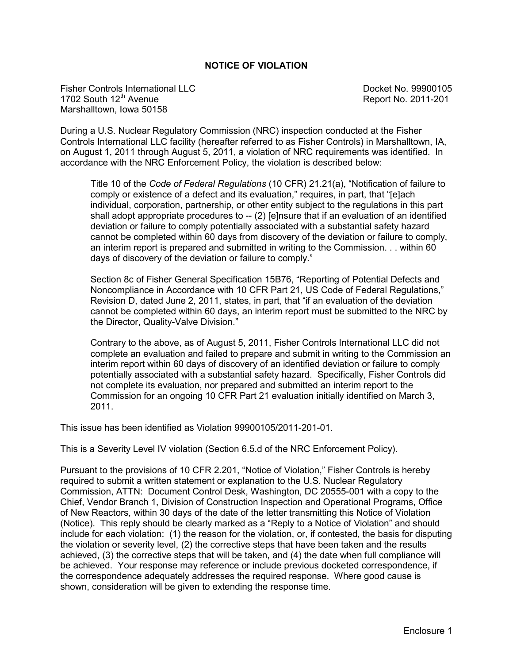#### **NOTICE OF VIOLATION**

Fisher Controls International LLC and the Controls of the Docket No. 99900105 1702 South 12<sup>th</sup> Avenue **Report No. 2011-201** Marshalltown, Iowa 50158

During a U.S. Nuclear Regulatory Commission (NRC) inspection conducted at the Fisher Controls International LLC facility (hereafter referred to as Fisher Controls) in Marshalltown, IA, on August 1, 2011 through August 5, 2011, a violation of NRC requirements was identified. In accordance with the NRC Enforcement Policy, the violation is described below:

Title 10 of the *Code of Federal Regulations* (10 CFR) 21.21(a), "Notification of failure to comply or existence of a defect and its evaluation," requires, in part, that "[e]ach individual, corporation, partnership, or other entity subject to the regulations in this part shall adopt appropriate procedures to  $-$  (2) [e]nsure that if an evaluation of an identified deviation or failure to comply potentially associated with a substantial safety hazard cannot be completed within 60 days from discovery of the deviation or failure to comply, an interim report is prepared and submitted in writing to the Commission. . . within 60 days of discovery of the deviation or failure to comply."

Section 8c of Fisher General Specification 15B76, "Reporting of Potential Defects and Noncompliance in Accordance with 10 CFR Part 21, US Code of Federal Regulations," Revision D, dated June 2, 2011, states, in part, that "if an evaluation of the deviation cannot be completed within 60 days, an interim report must be submitted to the NRC by the Director, Quality-Valve Division."

Contrary to the above, as of August 5, 2011, Fisher Controls International LLC did not complete an evaluation and failed to prepare and submit in writing to the Commission an interim report within 60 days of discovery of an identified deviation or failure to comply potentially associated with a substantial safety hazard. Specifically, Fisher Controls did not complete its evaluation, nor prepared and submitted an interim report to the Commission for an ongoing 10 CFR Part 21 evaluation initially identified on March 3, 2011.

This issue has been identified as Violation 99900105/2011-201-01.

This is a Severity Level IV violation (Section 6.5.d of the NRC Enforcement Policy).

Pursuant to the provisions of 10 CFR 2.201, "Notice of Violation," Fisher Controls is hereby required to submit a written statement or explanation to the U.S. Nuclear Regulatory Commission, ATTN: Document Control Desk, Washington, DC 20555-001 with a copy to the Chief, Vendor Branch 1, Division of Construction Inspection and Operational Programs, Office of New Reactors, within 30 days of the date of the letter transmitting this Notice of Violation (Notice). This reply should be clearly marked as a "Reply to a Notice of Violation" and should include for each violation: (1) the reason for the violation, or, if contested, the basis for disputing the violation or severity level, (2) the corrective steps that have been taken and the results achieved, (3) the corrective steps that will be taken, and (4) the date when full compliance will be achieved. Your response may reference or include previous docketed correspondence, if the correspondence adequately addresses the required response. Where good cause is shown, consideration will be given to extending the response time.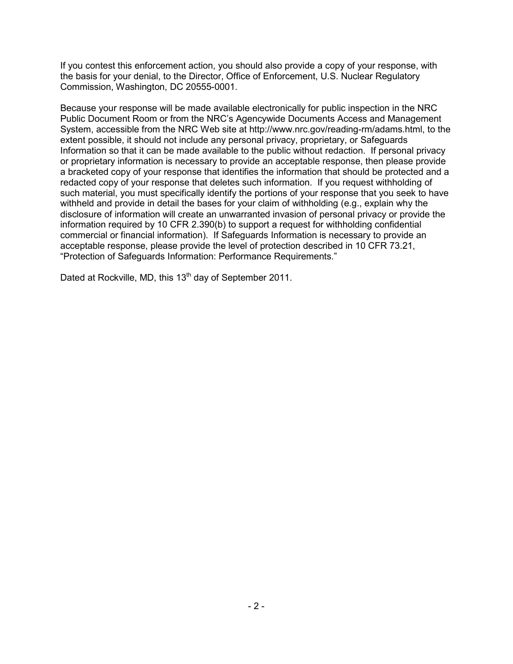If you contest this enforcement action, you should also provide a copy of your response, with the basis for your denial, to the Director, Office of Enforcement, U.S. Nuclear Regulatory Commission, Washington, DC 20555-0001.

Because your response will be made available electronically for public inspection in the NRC Public Document Room or from the NRC's Agencywide Documents Access and Management System, accessible from the NRC Web site at [http://www.nrc.gov/reading-rm/adams.html,](http://www.nrc.gov/reading-rm/adams.html) to the extent possible, it should not include any personal privacy, proprietary, or Safeguards Information so that it can be made available to the public without redaction. If personal privacy or proprietary information is necessary to provide an acceptable response, then please provide a bracketed copy of your response that identifies the information that should be protected and a redacted copy of your response that deletes such information. If you request withholding of such material, you must specifically identify the portions of your response that you seek to have withheld and provide in detail the bases for your claim of withholding (e.g., explain why the disclosure of information will create an unwarranted invasion of personal privacy or provide the information required by 10 CFR 2.390(b) to support a request for withholding confidential commercial or financial information). If Safeguards Information is necessary to provide an acceptable response, please provide the level of protection described in 10 CFR 73.21, "Protection of Safeguards Information: Performance Requirements."

Dated at Rockville, MD, this 13<sup>th</sup> day of September 2011.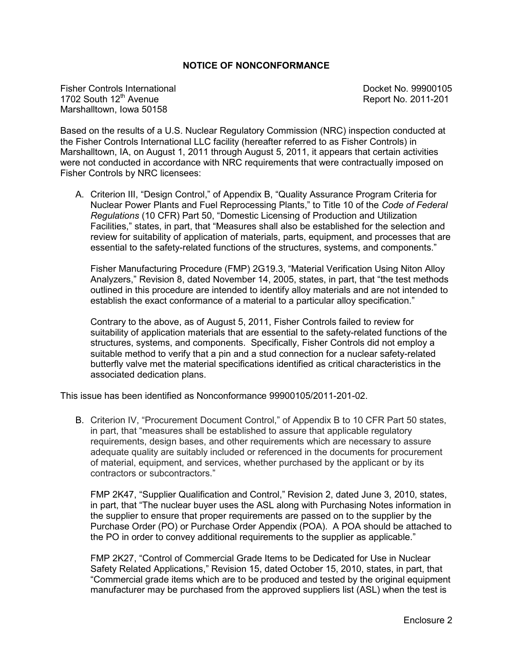#### **NOTICE OF NONCONFORMANCE**

Fisher Controls International **Docket No. 99900105** Controls International Docket No. 99900105 1702 South 12<sup>th</sup> Avenue **Report No. 2011-201** Marshalltown, Iowa 50158

Based on the results of a U.S. Nuclear Regulatory Commission (NRC) inspection conducted at the Fisher Controls International LLC facility (hereafter referred to as Fisher Controls) in Marshalltown, IA, on August 1, 2011 through August 5, 2011, it appears that certain activities were not conducted in accordance with NRC requirements that were contractually imposed on Fisher Controls by NRC licensees:

A. Criterion III, "Design Control," of Appendix B, "Quality Assurance Program Criteria for Nuclear Power Plants and Fuel Reprocessing Plants," to Title 10 of the *Code of Federal Regulations* (10 CFR) Part 50, "Domestic Licensing of Production and Utilization Facilities," states, in part, that "Measures shall also be established for the selection and review for suitability of application of materials, parts, equipment, and processes that are essential to the safety-related functions of the structures, systems, and components."

Fisher Manufacturing Procedure (FMP) 2G19.3, "Material Verification Using Niton Alloy Analyzers," Revision 8, dated November 14, 2005, states, in part, that "the test methods outlined in this procedure are intended to identify alloy materials and are not intended to establish the exact conformance of a material to a particular alloy specification."

Contrary to the above, as of August 5, 2011, Fisher Controls failed to review for suitability of application materials that are essential to the safety-related functions of the structures, systems, and components. Specifically, Fisher Controls did not employ a suitable method to verify that a pin and a stud connection for a nuclear safety-related butterfly valve met the material specifications identified as critical characteristics in the associated dedication plans.

This issue has been identified as Nonconformance 99900105/2011-201-02.

B. Criterion IV, "Procurement Document Control," of Appendix B to 10 CFR Part 50 states, in part, that "measures shall be established to assure that applicable regulatory requirements, design bases, and other requirements which are necessary to assure adequate quality are suitably included or referenced in the documents for procurement of material, equipment, and services, whether purchased by the applicant or by its contractors or subcontractors."

FMP 2K47, "Supplier Qualification and Control," Revision 2, dated June 3, 2010, states, in part, that "The nuclear buyer uses the ASL along with Purchasing Notes information in the supplier to ensure that proper requirements are passed on to the supplier by the Purchase Order (PO) or Purchase Order Appendix (POA). A POA should be attached to the PO in order to convey additional requirements to the supplier as applicable."

FMP 2K27, "Control of Commercial Grade Items to be Dedicated for Use in Nuclear Safety Related Applications," Revision 15, dated October 15, 2010, states, in part, that "Commercial grade items which are to be produced and tested by the original equipment manufacturer may be purchased from the approved suppliers list (ASL) when the test is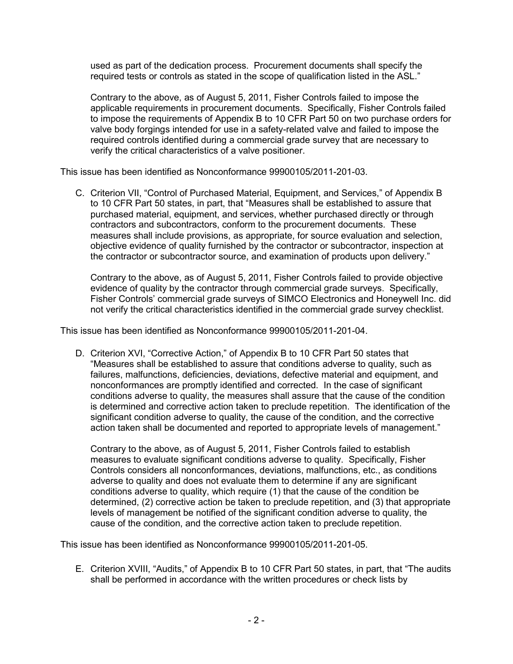used as part of the dedication process. Procurement documents shall specify the required tests or controls as stated in the scope of qualification listed in the ASL."

Contrary to the above, as of August 5, 2011, Fisher Controls failed to impose the applicable requirements in procurement documents. Specifically, Fisher Controls failed to impose the requirements of Appendix B to 10 CFR Part 50 on two purchase orders for valve body forgings intended for use in a safety-related valve and failed to impose the required controls identified during a commercial grade survey that are necessary to verify the critical characteristics of a valve positioner.

This issue has been identified as Nonconformance 99900105/2011-201-03.

C. Criterion VII, "Control of Purchased Material, Equipment, and Services," of Appendix B to 10 CFR Part 50 states, in part, that "Measures shall be established to assure that purchased material, equipment, and services, whether purchased directly or through contractors and subcontractors, conform to the procurement documents. These measures shall include provisions, as appropriate, for source evaluation and selection, objective evidence of quality furnished by the contractor or subcontractor, inspection at the contractor or subcontractor source, and examination of products upon delivery."

Contrary to the above, as of August 5, 2011, Fisher Controls failed to provide objective evidence of quality by the contractor through commercial grade surveys. Specifically, Fisher Controls' commercial grade surveys of SIMCO Electronics and Honeywell Inc. did not verify the critical characteristics identified in the commercial grade survey checklist.

This issue has been identified as Nonconformance 99900105/2011-201-04.

D. Criterion XVI, "Corrective Action," of Appendix B to 10 CFR Part 50 states that "Measures shall be established to assure that conditions adverse to quality, such as failures, malfunctions, deficiencies, deviations, defective material and equipment, and nonconformances are promptly identified and corrected. In the case of significant conditions adverse to quality, the measures shall assure that the cause of the condition is determined and corrective action taken to preclude repetition. The identification of the significant condition adverse to quality, the cause of the condition, and the corrective action taken shall be documented and reported to appropriate levels of management."

Contrary to the above, as of August 5, 2011, Fisher Controls failed to establish measures to evaluate significant conditions adverse to quality. Specifically, Fisher Controls considers all nonconformances, deviations, malfunctions, etc., as conditions adverse to quality and does not evaluate them to determine if any are significant conditions adverse to quality, which require (1) that the cause of the condition be determined, (2) corrective action be taken to preclude repetition, and (3) that appropriate levels of management be notified of the significant condition adverse to quality, the cause of the condition, and the corrective action taken to preclude repetition.

This issue has been identified as Nonconformance 99900105/2011-201-05.

E. Criterion XVIII, "Audits," of Appendix B to 10 CFR Part 50 states, in part, that "The audits shall be performed in accordance with the written procedures or check lists by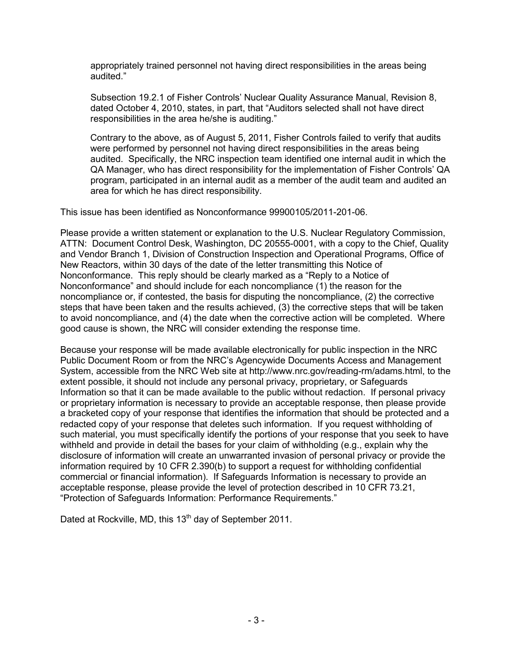appropriately trained personnel not having direct responsibilities in the areas being audited."

Subsection 19.2.1 of Fisher Controls' Nuclear Quality Assurance Manual, Revision 8, dated October 4, 2010, states, in part, that "Auditors selected shall not have direct responsibilities in the area he/she is auditing."

Contrary to the above, as of August 5, 2011, Fisher Controls failed to verify that audits were performed by personnel not having direct responsibilities in the areas being audited. Specifically, the NRC inspection team identified one internal audit in which the QA Manager, who has direct responsibility for the implementation of Fisher Controls' QA program, participated in an internal audit as a member of the audit team and audited an area for which he has direct responsibility.

This issue has been identified as Nonconformance 99900105/2011-201-06.

Please provide a written statement or explanation to the U.S. Nuclear Regulatory Commission, ATTN: Document Control Desk, Washington, DC 20555-0001, with a copy to the Chief, Quality and Vendor Branch 1, Division of Construction Inspection and Operational Programs, Office of New Reactors, within 30 days of the date of the letter transmitting this Notice of Nonconformance. This reply should be clearly marked as a "Reply to a Notice of Nonconformance" and should include for each noncompliance (1) the reason for the noncompliance or, if contested, the basis for disputing the noncompliance, (2) the corrective steps that have been taken and the results achieved, (3) the corrective steps that will be taken to avoid noncompliance, and (4) the date when the corrective action will be completed. Where good cause is shown, the NRC will consider extending the response time.

Because your response will be made available electronically for public inspection in the NRC Public Document Room or from the NRC's Agencywide Documents Access and Management System, accessible from the NRC Web site at [http://www.nrc.gov/reading-rm/adams.html,](http://www.nrc.gov/reading-rm/adams.html) to the extent possible, it should not include any personal privacy, proprietary, or Safeguards Information so that it can be made available to the public without redaction. If personal privacy or proprietary information is necessary to provide an acceptable response, then please provide a bracketed copy of your response that identifies the information that should be protected and a redacted copy of your response that deletes such information. If you request withholding of such material, you must specifically identify the portions of your response that you seek to have withheld and provide in detail the bases for your claim of withholding (e.g., explain why the disclosure of information will create an unwarranted invasion of personal privacy or provide the information required by 10 CFR 2.390(b) to support a request for withholding confidential commercial or financial information). If Safeguards Information is necessary to provide an acceptable response, please provide the level of protection described in 10 CFR 73.21, "Protection of Safeguards Information: Performance Requirements."

Dated at Rockville, MD, this 13<sup>th</sup> day of September 2011.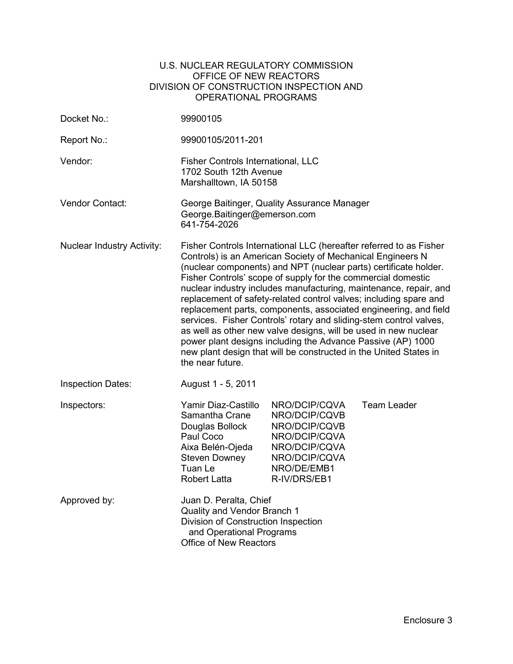#### U.S. NUCLEAR REGULATORY COMMISSION OFFICE OF NEW REACTORS DIVISION OF CONSTRUCTION INSPECTION AND OPERATIONAL PROGRAMS

| Docket No.:                       | 99900105                                                                                                                                                                                                                                                                                                                                                                                                                                                                                                                                                                                                                                                                                                                                                                            |                                                                                                                                   |                    |
|-----------------------------------|-------------------------------------------------------------------------------------------------------------------------------------------------------------------------------------------------------------------------------------------------------------------------------------------------------------------------------------------------------------------------------------------------------------------------------------------------------------------------------------------------------------------------------------------------------------------------------------------------------------------------------------------------------------------------------------------------------------------------------------------------------------------------------------|-----------------------------------------------------------------------------------------------------------------------------------|--------------------|
| Report No.:                       | 99900105/2011-201                                                                                                                                                                                                                                                                                                                                                                                                                                                                                                                                                                                                                                                                                                                                                                   |                                                                                                                                   |                    |
| Vendor:                           | Fisher Controls International, LLC<br>1702 South 12th Avenue<br>Marshalltown, IA 50158                                                                                                                                                                                                                                                                                                                                                                                                                                                                                                                                                                                                                                                                                              |                                                                                                                                   |                    |
| Vendor Contact:                   | George Baitinger, Quality Assurance Manager<br>George.Baitinger@emerson.com<br>641-754-2026                                                                                                                                                                                                                                                                                                                                                                                                                                                                                                                                                                                                                                                                                         |                                                                                                                                   |                    |
| <b>Nuclear Industry Activity:</b> | Fisher Controls International LLC (hereafter referred to as Fisher<br>Controls) is an American Society of Mechanical Engineers N<br>(nuclear components) and NPT (nuclear parts) certificate holder.<br>Fisher Controls' scope of supply for the commercial domestic<br>nuclear industry includes manufacturing, maintenance, repair, and<br>replacement of safety-related control valves; including spare and<br>replacement parts, components, associated engineering, and field<br>services. Fisher Controls' rotary and sliding-stem control valves,<br>as well as other new valve designs, will be used in new nuclear<br>power plant designs including the Advance Passive (AP) 1000<br>new plant design that will be constructed in the United States in<br>the near future. |                                                                                                                                   |                    |
| <b>Inspection Dates:</b>          | August 1 - 5, 2011                                                                                                                                                                                                                                                                                                                                                                                                                                                                                                                                                                                                                                                                                                                                                                  |                                                                                                                                   |                    |
| Inspectors:                       | Yamir Diaz-Castillo<br>Samantha Crane<br>Douglas Bollock<br>Paul Coco<br>Aixa Belén-Ojeda<br>Steven Downey<br>Tuan Le<br><b>Robert Latta</b>                                                                                                                                                                                                                                                                                                                                                                                                                                                                                                                                                                                                                                        | NRO/DCIP/CQVA<br>NRO/DCIP/CQVB<br>NRO/DCIP/CQVB<br>NRO/DCIP/CQVA<br>NRO/DCIP/CQVA<br>NRO/DCIP/CQVA<br>NRO/DE/EMB1<br>R-IV/DRS/EB1 | <b>Team Leader</b> |
| Approved by:                      | Juan D. Peralta, Chief<br>Quality and Vendor Branch 1<br>Division of Construction Inspection<br>and Operational Programs<br>Office of New Reactors                                                                                                                                                                                                                                                                                                                                                                                                                                                                                                                                                                                                                                  |                                                                                                                                   |                    |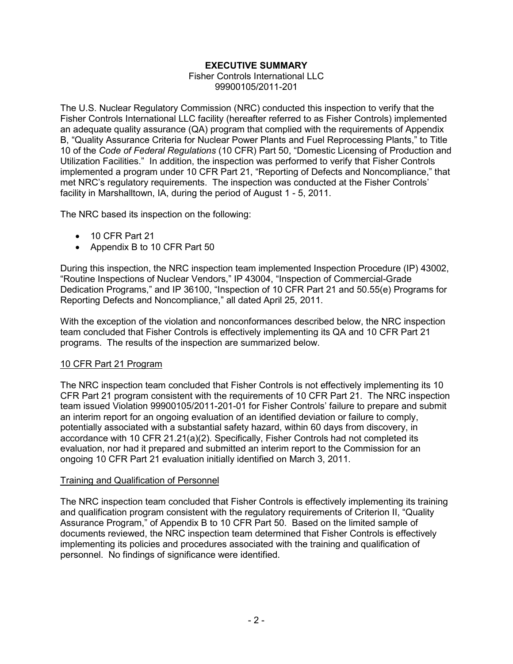## **EXECUTIVE SUMMARY**

Fisher Controls International LLC 99900105/2011-201

The U.S. Nuclear Regulatory Commission (NRC) conducted this inspection to verify that the Fisher Controls International LLC facility (hereafter referred to as Fisher Controls) implemented an adequate quality assurance (QA) program that complied with the requirements of Appendix B, "Quality Assurance Criteria for Nuclear Power Plants and Fuel Reprocessing Plants," to Title 10 of the *Code of Federal Regulations* (10 CFR) Part 50, "Domestic Licensing of Production and Utilization Facilities." In addition, the inspection was performed to verify that Fisher Controls implemented a program under 10 CFR Part 21, "Reporting of Defects and Noncompliance," that met NRC's regulatory requirements. The inspection was conducted at the Fisher Controls' facility in Marshalltown, IA, during the period of August 1 - 5, 2011.

The NRC based its inspection on the following:

- 10 CFR Part 21
- Appendix B to 10 CFR Part 50

During this inspection, the NRC inspection team implemented Inspection Procedure (IP) 43002, "Routine Inspections of Nuclear Vendors," IP 43004, "Inspection of Commercial-Grade Dedication Programs," and IP 36100, "Inspection of 10 CFR Part 21 and 50.55(e) Programs for Reporting Defects and Noncompliance," all dated April 25, 2011.

With the exception of the violation and nonconformances described below, the NRC inspection team concluded that Fisher Controls is effectively implementing its QA and 10 CFR Part 21 programs. The results of the inspection are summarized below.

### 10 CFR Part 21 Program

The NRC inspection team concluded that Fisher Controls is not effectively implementing its 10 CFR Part 21 program consistent with the requirements of 10 CFR Part 21. The NRC inspection team issued Violation 99900105/2011-201-01 for Fisher Controls' failure to prepare and submit an interim report for an ongoing evaluation of an identified deviation or failure to comply, potentially associated with a substantial safety hazard, within 60 days from discovery, in accordance with 10 CFR 21.21(a)(2). Specifically, Fisher Controls had not completed its evaluation, nor had it prepared and submitted an interim report to the Commission for an ongoing 10 CFR Part 21 evaluation initially identified on March 3, 2011.

### Training and Qualification of Personnel

The NRC inspection team concluded that Fisher Controls is effectively implementing its training and qualification program consistent with the regulatory requirements of Criterion II, "Quality Assurance Program," of Appendix B to 10 CFR Part 50. Based on the limited sample of documents reviewed, the NRC inspection team determined that Fisher Controls is effectively implementing its policies and procedures associated with the training and qualification of personnel. No findings of significance were identified.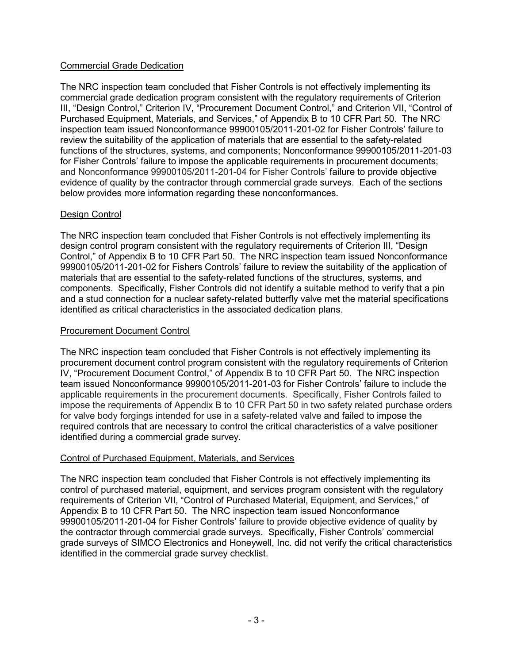## Commercial Grade Dedication

The NRC inspection team concluded that Fisher Controls is not effectively implementing its commercial grade dedication program consistent with the regulatory requirements of Criterion III, "Design Control," Criterion IV, "Procurement Document Control," and Criterion VII, "Control of Purchased Equipment, Materials, and Services," of Appendix B to 10 CFR Part 50. The NRC inspection team issued Nonconformance 99900105/2011-201-02 for Fisher Controls' failure to review the suitability of the application of materials that are essential to the safety-related functions of the structures, systems, and components; Nonconformance 99900105/2011-201-03 for Fisher Controls' failure to impose the applicable requirements in procurement documents; and Nonconformance 99900105/2011-201-04 for Fisher Controls' failure to provide objective evidence of quality by the contractor through commercial grade surveys. Each of the sections below provides more information regarding these nonconformances.

## Design Control

The NRC inspection team concluded that Fisher Controls is not effectively implementing its design control program consistent with the regulatory requirements of Criterion III, "Design Control," of Appendix B to 10 CFR Part 50. The NRC inspection team issued Nonconformance 99900105/2011-201-02 for Fishers Controls' failure to review the suitability of the application of materials that are essential to the safety-related functions of the structures, systems, and components. Specifically, Fisher Controls did not identify a suitable method to verify that a pin and a stud connection for a nuclear safety-related butterfly valve met the material specifications identified as critical characteristics in the associated dedication plans.

## Procurement Document Control

The NRC inspection team concluded that Fisher Controls is not effectively implementing its procurement document control program consistent with the regulatory requirements of Criterion IV, "Procurement Document Control," of Appendix B to 10 CFR Part 50. The NRC inspection team issued Nonconformance 99900105/2011-201-03 for Fisher Controls' failure to include the applicable requirements in the procurement documents. Specifically, Fisher Controls failed to impose the requirements of Appendix B to 10 CFR Part 50 in two safety related purchase orders for valve body forgings intended for use in a safety-related valve and failed to impose the required controls that are necessary to control the critical characteristics of a valve positioner identified during a commercial grade survey.

### Control of Purchased Equipment, Materials, and Services

The NRC inspection team concluded that Fisher Controls is not effectively implementing its control of purchased material, equipment, and services program consistent with the regulatory requirements of Criterion VII, "Control of Purchased Material, Equipment, and Services," of Appendix B to 10 CFR Part 50. The NRC inspection team issued Nonconformance 99900105/2011-201-04 for Fisher Controls' failure to provide objective evidence of quality by the contractor through commercial grade surveys. Specifically, Fisher Controls' commercial grade surveys of SIMCO Electronics and Honeywell, Inc. did not verify the critical characteristics identified in the commercial grade survey checklist.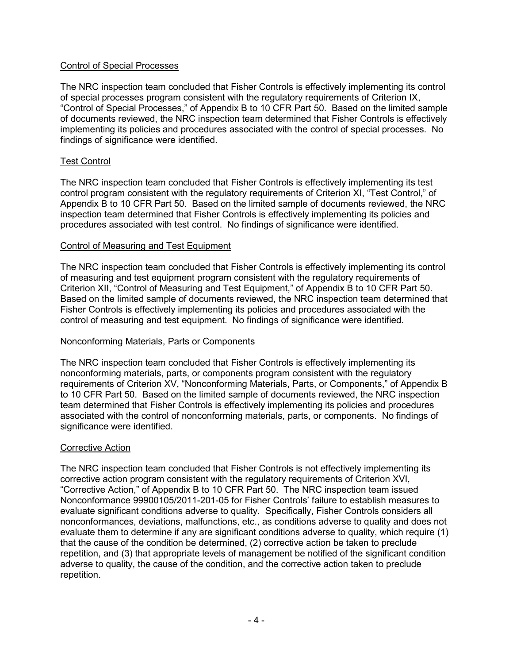## Control of Special Processes

The NRC inspection team concluded that Fisher Controls is effectively implementing its control of special processes program consistent with the regulatory requirements of Criterion IX, "Control of Special Processes," of Appendix B to 10 CFR Part 50. Based on the limited sample of documents reviewed, the NRC inspection team determined that Fisher Controls is effectively implementing its policies and procedures associated with the control of special processes. No findings of significance were identified.

## Test Control

The NRC inspection team concluded that Fisher Controls is effectively implementing its test control program consistent with the regulatory requirements of Criterion XI, "Test Control," of Appendix B to 10 CFR Part 50. Based on the limited sample of documents reviewed, the NRC inspection team determined that Fisher Controls is effectively implementing its policies and procedures associated with test control. No findings of significance were identified.

### Control of Measuring and Test Equipment

The NRC inspection team concluded that Fisher Controls is effectively implementing its control of measuring and test equipment program consistent with the regulatory requirements of Criterion XII, "Control of Measuring and Test Equipment," of Appendix B to 10 CFR Part 50. Based on the limited sample of documents reviewed, the NRC inspection team determined that Fisher Controls is effectively implementing its policies and procedures associated with the control of measuring and test equipment. No findings of significance were identified.

### Nonconforming Materials, Parts or Components

The NRC inspection team concluded that Fisher Controls is effectively implementing its nonconforming materials, parts, or components program consistent with the regulatory requirements of Criterion XV, "Nonconforming Materials, Parts, or Components," of Appendix B to 10 CFR Part 50. Based on the limited sample of documents reviewed, the NRC inspection team determined that Fisher Controls is effectively implementing its policies and procedures associated with the control of nonconforming materials, parts, or components. No findings of significance were identified.

### Corrective Action

The NRC inspection team concluded that Fisher Controls is not effectively implementing its corrective action program consistent with the regulatory requirements of Criterion XVI, "Corrective Action," of Appendix B to 10 CFR Part 50. The NRC inspection team issued Nonconformance 99900105/2011-201-05 for Fisher Controls' failure to establish measures to evaluate significant conditions adverse to quality. Specifically, Fisher Controls considers all nonconformances, deviations, malfunctions, etc., as conditions adverse to quality and does not evaluate them to determine if any are significant conditions adverse to quality, which require (1) that the cause of the condition be determined, (2) corrective action be taken to preclude repetition, and (3) that appropriate levels of management be notified of the significant condition adverse to quality, the cause of the condition, and the corrective action taken to preclude repetition.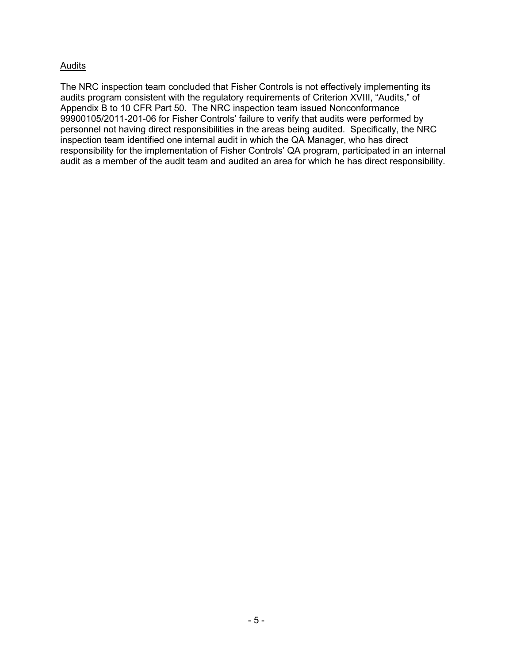## Audits

The NRC inspection team concluded that Fisher Controls is not effectively implementing its audits program consistent with the regulatory requirements of Criterion XVIII, "Audits," of Appendix B to 10 CFR Part 50. The NRC inspection team issued Nonconformance 99900105/2011-201-06 for Fisher Controls' failure to verify that audits were performed by personnel not having direct responsibilities in the areas being audited. Specifically, the NRC inspection team identified one internal audit in which the QA Manager, who has direct responsibility for the implementation of Fisher Controls' QA program, participated in an internal audit as a member of the audit team and audited an area for which he has direct responsibility.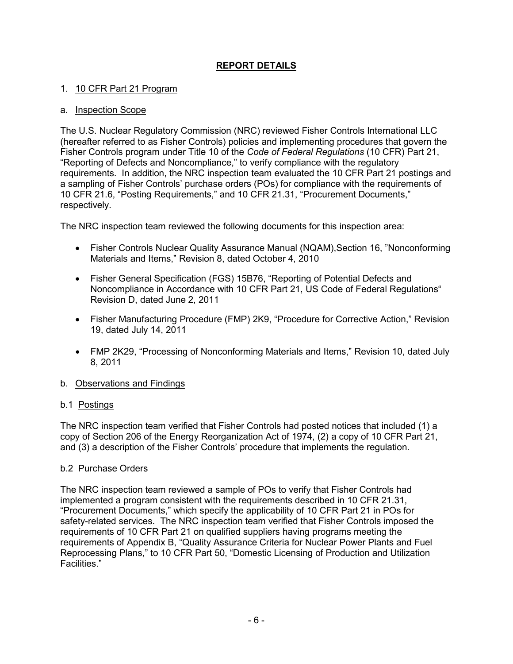## **REPORT DETAILS**

## 1. 10 CFR Part 21 Program

#### a. Inspection Scope

The U.S. Nuclear Regulatory Commission (NRC) reviewed Fisher Controls International LLC (hereafter referred to as Fisher Controls) policies and implementing procedures that govern the Fisher Controls program under Title 10 of the *Code of Federal Regulations* (10 CFR) Part 21, "Reporting of Defects and Noncompliance," to verify compliance with the regulatory requirements. In addition, the NRC inspection team evaluated the 10 CFR Part 21 postings and a sampling of Fisher Controls' purchase orders (POs) for compliance with the requirements of 10 CFR 21.6, "Posting Requirements," and 10 CFR 21.31, "Procurement Documents," respectively.

The NRC inspection team reviewed the following documents for this inspection area:

- Fisher Controls Nuclear Quality Assurance Manual (NQAM),Section 16, "Nonconforming Materials and Items," Revision 8, dated October 4, 2010
- Fisher General Specification (FGS) 15B76, "Reporting of Potential Defects and Noncompliance in Accordance with 10 CFR Part 21, US Code of Federal Regulations" Revision D, dated June 2, 2011
- Fisher Manufacturing Procedure (FMP) 2K9, "Procedure for Corrective Action," Revision 19, dated July 14, 2011
- FMP 2K29, "Processing of Nonconforming Materials and Items," Revision 10, dated July 8, 2011

### b. Observations and Findings

### b.1 Postings

The NRC inspection team verified that Fisher Controls had posted notices that included (1) a copy of Section 206 of the Energy Reorganization Act of 1974, (2) a copy of 10 CFR Part 21, and (3) a description of the Fisher Controls' procedure that implements the regulation.

### b.2 Purchase Orders

The NRC inspection team reviewed a sample of POs to verify that Fisher Controls had implemented a program consistent with the requirements described in 10 CFR 21.31, "Procurement Documents," which specify the applicability of 10 CFR Part 21 in POs for safety-related services. The NRC inspection team verified that Fisher Controls imposed the requirements of 10 CFR Part 21 on qualified suppliers having programs meeting the requirements of Appendix B, "Quality Assurance Criteria for Nuclear Power Plants and Fuel Reprocessing Plans," to 10 CFR Part 50, "Domestic Licensing of Production and Utilization Facilities."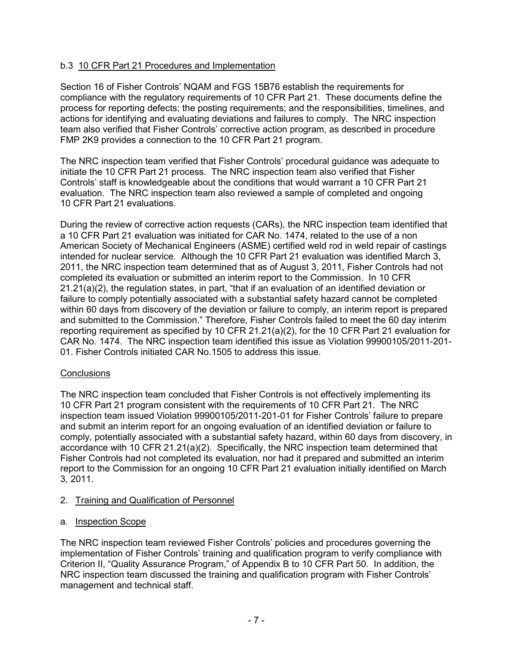## b.3 10 CFR Part 21 Procedures and Implementation

Section 16 of Fisher Controls' NQAM and FGS 15B76 establish the requirements for compliance with the regulatory requirements of 10 CFR Part 21. These documents define the process for reporting defects; the posting requirements; and the responsibilities, timelines, and actions for identifying and evaluating deviations and failures to comply. The NRC inspection team also verified that Fisher Controls' corrective action program, as described in procedure FMP 2K9 provides a connection to the 10 CFR Part 21 program.

The NRC inspection team verified that Fisher Controls' procedural guidance was adequate to initiate the 10 CFR Part 21 process. The NRC inspection team also verified that Fisher Controls' staff is knowledgeable about the conditions that would warrant a 10 CFR Part 21 evaluation. The NRC inspection team also reviewed a sample of completed and ongoing 10 CFR Part 21 evaluations.

During the review of corrective action requests (CARs), the NRC inspection team identified that a 10 CFR Part 21 evaluation was initiated for CAR No. 1474, related to the use of a non American Society of Mechanical Engineers (ASME) certified weld rod in weld repair of castings intended for nuclear service. Although the 10 CFR Part 21 evaluation was identified March 3, 2011, the NRC inspection team determined that as of August 3, 2011, Fisher Controls had not completed its evaluation or submitted an interim report to the Commission. In 10 CFR 21.21(a)(2), the regulation states, in part, "that if an evaluation of an identified deviation or failure to comply potentially associated with a substantial safety hazard cannot be completed within 60 days from discovery of the deviation or failure to comply, an interim report is prepared and submitted to the Commission." Therefore, Fisher Controls failed to meet the 60 day interim reporting requirement as specified by 10 CFR 21.21(a)(2), for the 10 CFR Part 21 evaluation for CAR No. 1474. The NRC inspection team identified this issue as Violation 99900105/2011-201- 01. Fisher Controls initiated CAR No.1505 to address this issue.

### **Conclusions**

The NRC inspection team concluded that Fisher Controls is not effectively implementing its 10 CFR Part 21 program consistent with the requirements of 10 CFR Part 21. The NRC inspection team issued Violation 99900105/2011-201-01 for Fisher Controls' failure to prepare and submit an interim report for an ongoing evaluation of an identified deviation or failure to comply, potentially associated with a substantial safety hazard, within 60 days from discovery, in accordance with 10 CFR 21.21(a)(2). Specifically, the NRC inspection team determined that Fisher Controls had not completed its evaluation, nor had it prepared and submitted an interim report to the Commission for an ongoing 10 CFR Part 21 evaluation initially identified on March 3, 2011.

### 2. Training and Qualification of Personnel

## a. Inspection Scope

The NRC inspection team reviewed Fisher Controls' policies and procedures governing the implementation of Fisher Controls' training and qualification program to verify compliance with Criterion II, "Quality Assurance Program," of Appendix B to 10 CFR Part 50. In addition, the NRC inspection team discussed the training and qualification program with Fisher Controls' management and technical staff.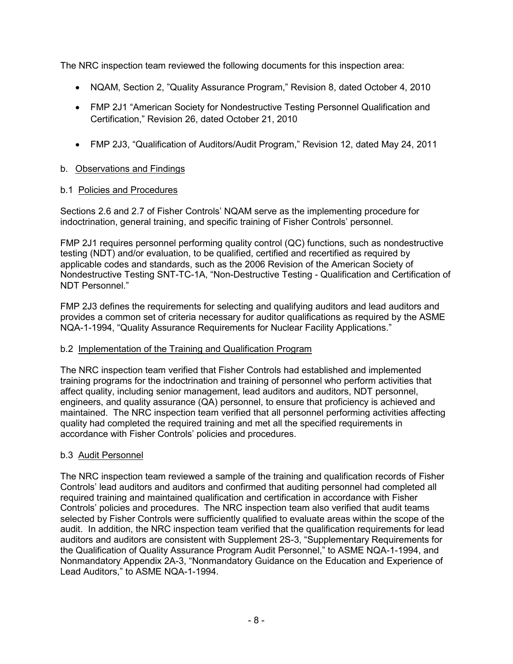The NRC inspection team reviewed the following documents for this inspection area:

- NQAM, Section 2, "Quality Assurance Program," Revision 8, dated October 4, 2010
- FMP 2J1 "American Society for Nondestructive Testing Personnel Qualification and Certification," Revision 26, dated October 21, 2010
- FMP 2J3, "Qualification of Auditors/Audit Program," Revision 12, dated May 24, 2011

## b. Observations and Findings

## b.1 Policies and Procedures

Sections 2.6 and 2.7 of Fisher Controls' NQAM serve as the implementing procedure for indoctrination, general training, and specific training of Fisher Controls' personnel.

FMP 2J1 requires personnel performing quality control (QC) functions, such as nondestructive testing (NDT) and/or evaluation, to be qualified, certified and recertified as required by applicable codes and standards, such as the 2006 Revision of the American Society of Nondestructive Testing SNT-TC-1A, "Non-Destructive Testing - Qualification and Certification of NDT Personnel."

FMP 2J3 defines the requirements for selecting and qualifying auditors and lead auditors and provides a common set of criteria necessary for auditor qualifications as required by the ASME NQA-1-1994, "Quality Assurance Requirements for Nuclear Facility Applications."

## b.2 Implementation of the Training and Qualification Program

The NRC inspection team verified that Fisher Controls had established and implemented training programs for the indoctrination and training of personnel who perform activities that affect quality, including senior management, lead auditors and auditors, NDT personnel, engineers, and quality assurance (QA) personnel, to ensure that proficiency is achieved and maintained. The NRC inspection team verified that all personnel performing activities affecting quality had completed the required training and met all the specified requirements in accordance with Fisher Controls' policies and procedures.

## b.3 Audit Personnel

The NRC inspection team reviewed a sample of the training and qualification records of Fisher Controls' lead auditors and auditors and confirmed that auditing personnel had completed all required training and maintained qualification and certification in accordance with Fisher Controls' policies and procedures. The NRC inspection team also verified that audit teams selected by Fisher Controls were sufficiently qualified to evaluate areas within the scope of the audit. In addition, the NRC inspection team verified that the qualification requirements for lead auditors and auditors are consistent with Supplement 2S-3, "Supplementary Requirements for the Qualification of Quality Assurance Program Audit Personnel," to ASME NQA-1-1994, and Nonmandatory Appendix 2A-3, "Nonmandatory Guidance on the Education and Experience of Lead Auditors," to ASME NQA-1-1994.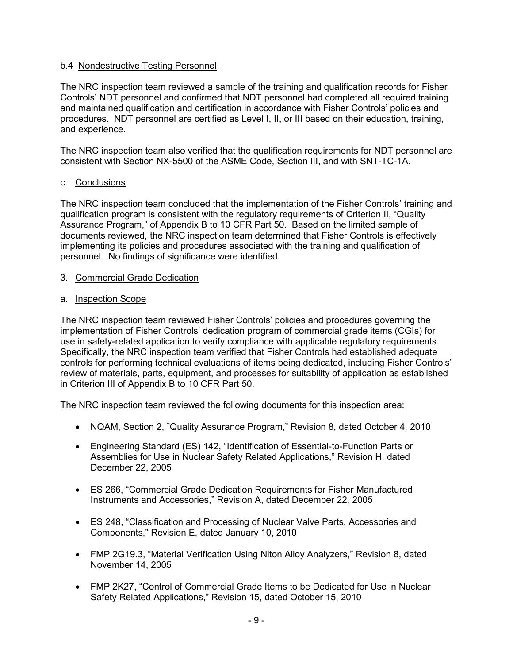## b.4 Nondestructive Testing Personnel

The NRC inspection team reviewed a sample of the training and qualification records for Fisher Controls' NDT personnel and confirmed that NDT personnel had completed all required training and maintained qualification and certification in accordance with Fisher Controls' policies and procedures. NDT personnel are certified as Level I, II, or III based on their education, training, and experience.

The NRC inspection team also verified that the qualification requirements for NDT personnel are consistent with Section NX-5500 of the ASME Code, Section III, and with SNT-TC-1A.

## c. Conclusions

The NRC inspection team concluded that the implementation of the Fisher Controls' training and qualification program is consistent with the regulatory requirements of Criterion II, "Quality Assurance Program," of Appendix B to 10 CFR Part 50. Based on the limited sample of documents reviewed, the NRC inspection team determined that Fisher Controls is effectively implementing its policies and procedures associated with the training and qualification of personnel. No findings of significance were identified.

### 3. Commercial Grade Dedication

## a. Inspection Scope

The NRC inspection team reviewed Fisher Controls' policies and procedures governing the implementation of Fisher Controls' dedication program of commercial grade items (CGIs) for use in safety-related application to verify compliance with applicable regulatory requirements. Specifically, the NRC inspection team verified that Fisher Controls had established adequate controls for performing technical evaluations of items being dedicated, including Fisher Controls' review of materials, parts, equipment, and processes for suitability of application as established in Criterion III of Appendix B to 10 CFR Part 50.

The NRC inspection team reviewed the following documents for this inspection area:

- NQAM, Section 2, "Quality Assurance Program," Revision 8, dated October 4, 2010
- Engineering Standard (ES) 142, "Identification of Essential-to-Function Parts or Assemblies for Use in Nuclear Safety Related Applications," Revision H, dated December 22, 2005
- ES 266, "Commercial Grade Dedication Requirements for Fisher Manufactured Instruments and Accessories," Revision A, dated December 22, 2005
- ES 248, "Classification and Processing of Nuclear Valve Parts, Accessories and Components," Revision E, dated January 10, 2010
- FMP 2G19.3, "Material Verification Using Niton Alloy Analyzers," Revision 8, dated November 14, 2005
- FMP 2K27, "Control of Commercial Grade Items to be Dedicated for Use in Nuclear Safety Related Applications," Revision 15, dated October 15, 2010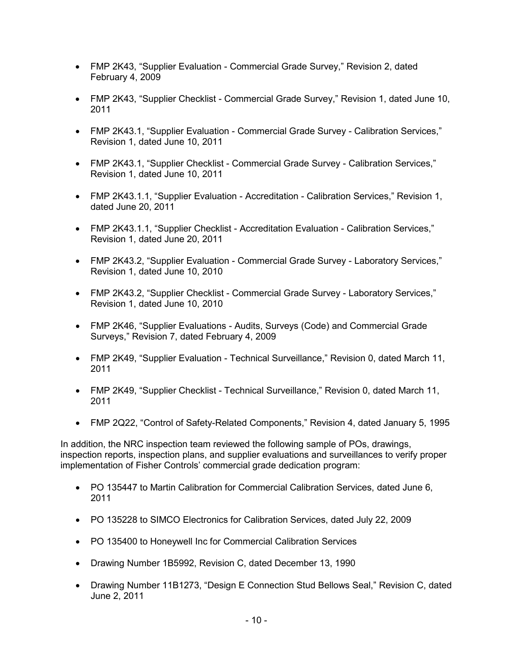- FMP 2K43, "Supplier Evaluation Commercial Grade Survey," Revision 2, dated February 4, 2009
- FMP 2K43, "Supplier Checklist Commercial Grade Survey," Revision 1, dated June 10, 2011
- FMP 2K43.1, "Supplier Evaluation Commercial Grade Survey Calibration Services," Revision 1, dated June 10, 2011
- FMP 2K43.1, "Supplier Checklist Commercial Grade Survey Calibration Services," Revision 1, dated June 10, 2011
- FMP 2K43.1.1, "Supplier Evaluation Accreditation Calibration Services," Revision 1, dated June 20, 2011
- FMP 2K43.1.1, "Supplier Checklist Accreditation Evaluation Calibration Services," Revision 1, dated June 20, 2011
- FMP 2K43.2, "Supplier Evaluation Commercial Grade Survey Laboratory Services," Revision 1, dated June 10, 2010
- FMP 2K43.2, "Supplier Checklist Commercial Grade Survey Laboratory Services," Revision 1, dated June 10, 2010
- FMP 2K46, "Supplier Evaluations Audits, Surveys (Code) and Commercial Grade Surveys," Revision 7, dated February 4, 2009
- FMP 2K49, "Supplier Evaluation Technical Surveillance," Revision 0, dated March 11, 2011
- FMP 2K49, "Supplier Checklist Technical Surveillance," Revision 0, dated March 11, 2011
- FMP 2Q22, "Control of Safety-Related Components," Revision 4, dated January 5, 1995

In addition, the NRC inspection team reviewed the following sample of POs, drawings, inspection reports, inspection plans, and supplier evaluations and surveillances to verify proper implementation of Fisher Controls' commercial grade dedication program:

- PO 135447 to Martin Calibration for Commercial Calibration Services, dated June 6, 2011
- PO 135228 to SIMCO Electronics for Calibration Services, dated July 22, 2009
- PO 135400 to Honeywell Inc for Commercial Calibration Services
- Drawing Number 1B5992, Revision C, dated December 13, 1990
- Drawing Number 11B1273, "Design E Connection Stud Bellows Seal," Revision C, dated June 2, 2011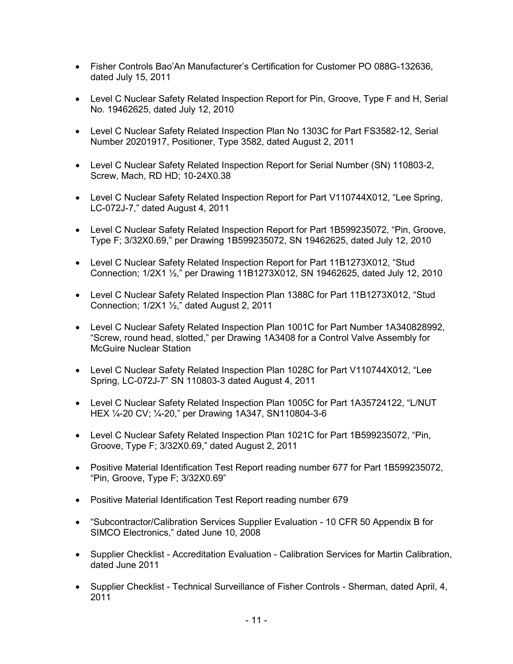- Fisher Controls Bao'An Manufacturer's Certification for Customer PO 088G-132636, dated July 15, 2011
- Level C Nuclear Safety Related Inspection Report for Pin, Groove, Type F and H, Serial No. 19462625, dated July 12, 2010
- Level C Nuclear Safety Related Inspection Plan No 1303C for Part FS3582-12, Serial Number 20201917, Positioner, Type 3582, dated August 2, 2011
- Level C Nuclear Safety Related Inspection Report for Serial Number (SN) 110803-2, Screw, Mach, RD HD; 10-24X0.38
- Level C Nuclear Safety Related Inspection Report for Part V110744X012, "Lee Spring, LC-072J-7," dated August 4, 2011
- Level C Nuclear Safety Related Inspection Report for Part 1B599235072, "Pin, Groove, Type F; 3/32X0.69," per Drawing 1B599235072, SN 19462625, dated July 12, 2010
- Level C Nuclear Safety Related Inspection Report for Part 11B1273X012, "Stud Connection; 1/2X1 ½," per Drawing 11B1273X012, SN 19462625, dated July 12, 2010
- Level C Nuclear Safety Related Inspection Plan 1388C for Part 11B1273X012, "Stud Connection; 1/2X1 ½," dated August 2, 2011
- Level C Nuclear Safety Related Inspection Plan 1001C for Part Number 1A340828992, "Screw, round head, slotted," per Drawing 1A3408 for a Control Valve Assembly for McGuire Nuclear Station
- Level C Nuclear Safety Related Inspection Plan 1028C for Part V110744X012, "Lee Spring, LC-072J-7" SN 110803-3 dated August 4, 2011
- Level C Nuclear Safety Related Inspection Plan 1005C for Part 1A35724122, "L/NUT HEX ¼-20 CV; ¼-20," per Drawing 1A347, SN110804-3-6
- Level C Nuclear Safety Related Inspection Plan 1021C for Part 1B599235072, "Pin, Groove, Type F; 3/32X0.69," dated August 2, 2011
- Positive Material Identification Test Report reading number 677 for Part 1B599235072, "Pin, Groove, Type F; 3/32X0.69"
- Positive Material Identification Test Report reading number 679
- "Subcontractor/Calibration Services Supplier Evaluation 10 CFR 50 Appendix B for SIMCO Electronics," dated June 10, 2008
- Supplier Checklist Accreditation Evaluation Calibration Services for Martin Calibration, dated June 2011
- Supplier Checklist Technical Surveillance of Fisher Controls Sherman, dated April, 4, 2011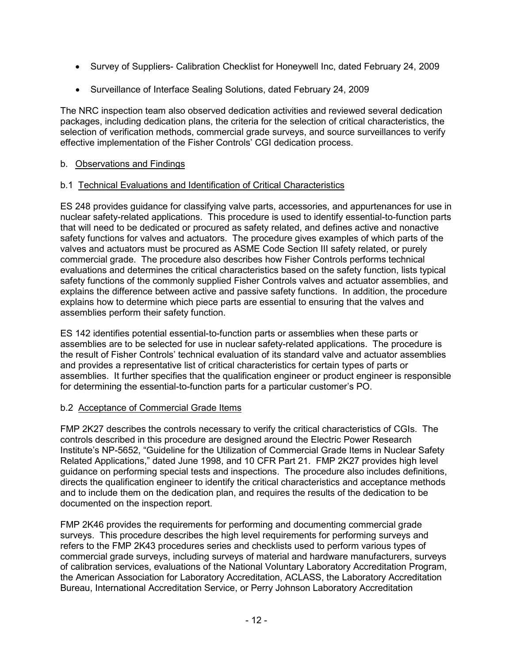- Survey of Suppliers- Calibration Checklist for Honeywell Inc, dated February 24, 2009
- Surveillance of Interface Sealing Solutions, dated February 24, 2009

The NRC inspection team also observed dedication activities and reviewed several dedication packages, including dedication plans, the criteria for the selection of critical characteristics, the selection of verification methods, commercial grade surveys, and source surveillances to verify effective implementation of the Fisher Controls' CGI dedication process.

## b. Observations and Findings

## b.1 Technical Evaluations and Identification of Critical Characteristics

ES 248 provides guidance for classifying valve parts, accessories, and appurtenances for use in nuclear safety-related applications. This procedure is used to identify essential-to-function parts that will need to be dedicated or procured as safety related, and defines active and nonactive safety functions for valves and actuators. The procedure gives examples of which parts of the valves and actuators must be procured as ASME Code Section III safety related, or purely commercial grade. The procedure also describes how Fisher Controls performs technical evaluations and determines the critical characteristics based on the safety function, lists typical safety functions of the commonly supplied Fisher Controls valves and actuator assemblies, and explains the difference between active and passive safety functions. In addition, the procedure explains how to determine which piece parts are essential to ensuring that the valves and assemblies perform their safety function.

ES 142 identifies potential essential-to-function parts or assemblies when these parts or assemblies are to be selected for use in nuclear safety-related applications. The procedure is the result of Fisher Controls' technical evaluation of its standard valve and actuator assemblies and provides a representative list of critical characteristics for certain types of parts or assemblies. It further specifies that the qualification engineer or product engineer is responsible for determining the essential-to-function parts for a particular customer's PO.

## b.2 Acceptance of Commercial Grade Items

FMP 2K27 describes the controls necessary to verify the critical characteristics of CGIs. The controls described in this procedure are designed around the Electric Power Research Institute's NP-5652, "Guideline for the Utilization of Commercial Grade Items in Nuclear Safety Related Applications," dated June 1998, and 10 CFR Part 21. FMP 2K27 provides high level guidance on performing special tests and inspections. The procedure also includes definitions, directs the qualification engineer to identify the critical characteristics and acceptance methods and to include them on the dedication plan, and requires the results of the dedication to be documented on the inspection report.

FMP 2K46 provides the requirements for performing and documenting commercial grade surveys. This procedure describes the high level requirements for performing surveys and refers to the FMP 2K43 procedures series and checklists used to perform various types of commercial grade surveys, including surveys of material and hardware manufacturers, surveys of calibration services, evaluations of the National Voluntary Laboratory Accreditation Program, the American Association for Laboratory Accreditation, ACLASS, the Laboratory Accreditation Bureau, International Accreditation Service, or Perry Johnson Laboratory Accreditation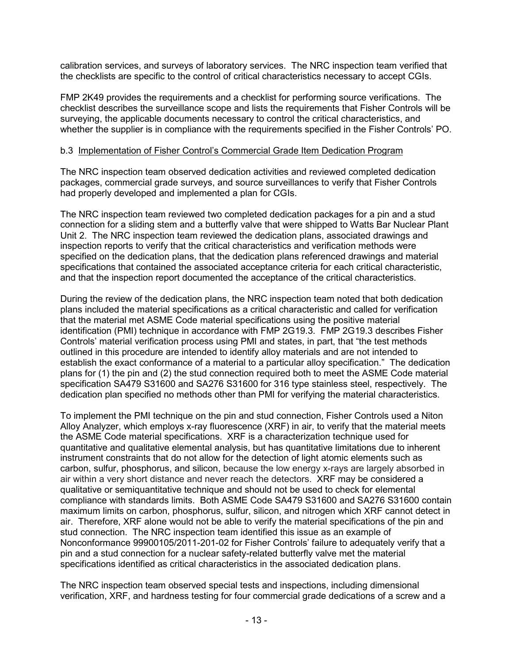calibration services, and surveys of laboratory services. The NRC inspection team verified that the checklists are specific to the control of critical characteristics necessary to accept CGIs.

FMP 2K49 provides the requirements and a checklist for performing source verifications. The checklist describes the surveillance scope and lists the requirements that Fisher Controls will be surveying, the applicable documents necessary to control the critical characteristics, and whether the supplier is in compliance with the requirements specified in the Fisher Controls' PO.

### b.3 Implementation of Fisher Control's Commercial Grade Item Dedication Program

The NRC inspection team observed dedication activities and reviewed completed dedication packages, commercial grade surveys, and source surveillances to verify that Fisher Controls had properly developed and implemented a plan for CGIs.

The NRC inspection team reviewed two completed dedication packages for a pin and a stud connection for a sliding stem and a butterfly valve that were shipped to Watts Bar Nuclear Plant Unit 2. The NRC inspection team reviewed the dedication plans, associated drawings and inspection reports to verify that the critical characteristics and verification methods were specified on the dedication plans, that the dedication plans referenced drawings and material specifications that contained the associated acceptance criteria for each critical characteristic, and that the inspection report documented the acceptance of the critical characteristics.

During the review of the dedication plans, the NRC inspection team noted that both dedication plans included the material specifications as a critical characteristic and called for verification that the material met ASME Code material specifications using the positive material identification (PMI) technique in accordance with FMP 2G19.3. FMP 2G19.3 describes Fisher Controls' material verification process using PMI and states, in part, that "the test methods outlined in this procedure are intended to identify alloy materials and are not intended to establish the exact conformance of a material to a particular alloy specification." The dedication plans for (1) the pin and (2) the stud connection required both to meet the ASME Code material specification SA479 S31600 and SA276 S31600 for 316 type stainless steel, respectively. The dedication plan specified no methods other than PMI for verifying the material characteristics.

To implement the PMI technique on the pin and stud connection, Fisher Controls used a Niton Alloy Analyzer, which employs x-ray fluorescence (XRF) in air, to verify that the material meets the ASME Code material specifications. XRF is a characterization technique used for quantitative and qualitative elemental analysis, but has quantitative limitations due to inherent instrument constraints that do not allow for the detection of light atomic elements such as carbon, sulfur, phosphorus, and silicon, because the low energy x-rays are largely absorbed in air within a very short distance and never reach the detectors. XRF may be considered a qualitative or semiquantitative technique and should not be used to check for elemental compliance with standards limits. Both ASME Code SA479 S31600 and SA276 S31600 contain maximum limits on carbon, phosphorus, sulfur, silicon, and nitrogen which XRF cannot detect in air. Therefore, XRF alone would not be able to verify the material specifications of the pin and stud connection. The NRC inspection team identified this issue as an example of Nonconformance 99900105/2011-201-02 for Fisher Controls' failure to adequately verify that a pin and a stud connection for a nuclear safety-related butterfly valve met the material specifications identified as critical characteristics in the associated dedication plans.

The NRC inspection team observed special tests and inspections, including dimensional verification, XRF, and hardness testing for four commercial grade dedications of a screw and a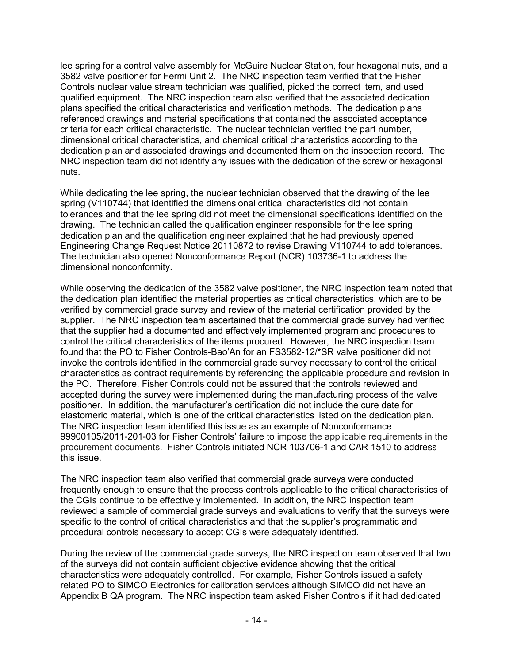lee spring for a control valve assembly for McGuire Nuclear Station, four hexagonal nuts, and a 3582 valve positioner for Fermi Unit 2. The NRC inspection team verified that the Fisher Controls nuclear value stream technician was qualified, picked the correct item, and used qualified equipment. The NRC inspection team also verified that the associated dedication plans specified the critical characteristics and verification methods. The dedication plans referenced drawings and material specifications that contained the associated acceptance criteria for each critical characteristic. The nuclear technician verified the part number, dimensional critical characteristics, and chemical critical characteristics according to the dedication plan and associated drawings and documented them on the inspection record. The NRC inspection team did not identify any issues with the dedication of the screw or hexagonal nuts.

While dedicating the lee spring, the nuclear technician observed that the drawing of the lee spring (V110744) that identified the dimensional critical characteristics did not contain tolerances and that the lee spring did not meet the dimensional specifications identified on the drawing. The technician called the qualification engineer responsible for the lee spring dedication plan and the qualification engineer explained that he had previously opened Engineering Change Request Notice 20110872 to revise Drawing V110744 to add tolerances. The technician also opened Nonconformance Report (NCR) 103736-1 to address the dimensional nonconformity.

While observing the dedication of the 3582 valve positioner, the NRC inspection team noted that the dedication plan identified the material properties as critical characteristics, which are to be verified by commercial grade survey and review of the material certification provided by the supplier. The NRC inspection team ascertained that the commercial grade survey had verified that the supplier had a documented and effectively implemented program and procedures to control the critical characteristics of the items procured. However, the NRC inspection team found that the PO to Fisher Controls-Bao'An for an FS3582-12/\*SR valve positioner did not invoke the controls identified in the commercial grade survey necessary to control the critical characteristics as contract requirements by referencing the applicable procedure and revision in the PO. Therefore, Fisher Controls could not be assured that the controls reviewed and accepted during the survey were implemented during the manufacturing process of the valve positioner. In addition, the manufacturer's certification did not include the cure date for elastomeric material, which is one of the critical characteristics listed on the dedication plan. The NRC inspection team identified this issue as an example of Nonconformance 99900105/2011-201-03 for Fisher Controls' failure to impose the applicable requirements in the procurement documents. Fisher Controls initiated NCR 103706-1 and CAR 1510 to address this issue.

The NRC inspection team also verified that commercial grade surveys were conducted frequently enough to ensure that the process controls applicable to the critical characteristics of the CGIs continue to be effectively implemented. In addition, the NRC inspection team reviewed a sample of commercial grade surveys and evaluations to verify that the surveys were specific to the control of critical characteristics and that the supplier's programmatic and procedural controls necessary to accept CGIs were adequately identified.

During the review of the commercial grade surveys, the NRC inspection team observed that two of the surveys did not contain sufficient objective evidence showing that the critical characteristics were adequately controlled. For example, Fisher Controls issued a safety related PO to SIMCO Electronics for calibration services although SIMCO did not have an Appendix B QA program. The NRC inspection team asked Fisher Controls if it had dedicated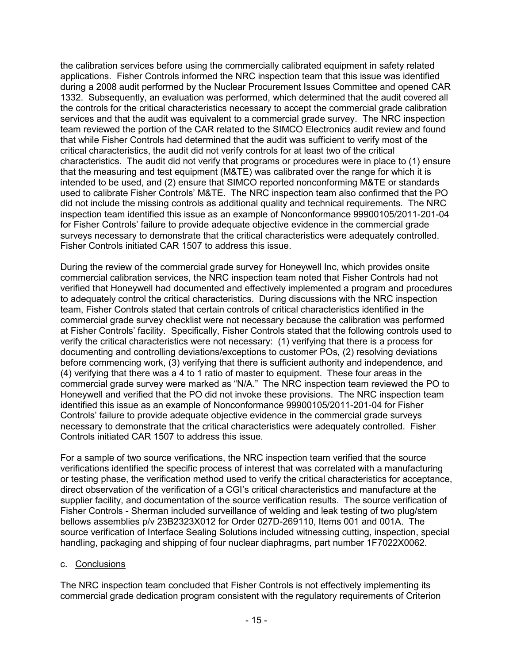the calibration services before using the commercially calibrated equipment in safety related applications. Fisher Controls informed the NRC inspection team that this issue was identified during a 2008 audit performed by the Nuclear Procurement Issues Committee and opened CAR 1332. Subsequently, an evaluation was performed, which determined that the audit covered all the controls for the critical characteristics necessary to accept the commercial grade calibration services and that the audit was equivalent to a commercial grade survey. The NRC inspection team reviewed the portion of the CAR related to the SIMCO Electronics audit review and found that while Fisher Controls had determined that the audit was sufficient to verify most of the critical characteristics, the audit did not verify controls for at least two of the critical characteristics. The audit did not verify that programs or procedures were in place to (1) ensure that the measuring and test equipment (M&TE) was calibrated over the range for which it is intended to be used, and (2) ensure that SIMCO reported nonconforming M&TE or standards used to calibrate Fisher Controls' M&TE. The NRC inspection team also confirmed that the PO did not include the missing controls as additional quality and technical requirements. The NRC inspection team identified this issue as an example of Nonconformance 99900105/2011-201-04 for Fisher Controls' failure to provide adequate objective evidence in the commercial grade surveys necessary to demonstrate that the critical characteristics were adequately controlled. Fisher Controls initiated CAR 1507 to address this issue.

During the review of the commercial grade survey for Honeywell Inc, which provides onsite commercial calibration services, the NRC inspection team noted that Fisher Controls had not verified that Honeywell had documented and effectively implemented a program and procedures to adequately control the critical characteristics. During discussions with the NRC inspection team, Fisher Controls stated that certain controls of critical characteristics identified in the commercial grade survey checklist were not necessary because the calibration was performed at Fisher Controls' facility. Specifically, Fisher Controls stated that the following controls used to verify the critical characteristics were not necessary: (1) verifying that there is a process for documenting and controlling deviations/exceptions to customer POs, (2) resolving deviations before commencing work, (3) verifying that there is sufficient authority and independence, and (4) verifying that there was a 4 to 1 ratio of master to equipment. These four areas in the commercial grade survey were marked as "N/A." The NRC inspection team reviewed the PO to Honeywell and verified that the PO did not invoke these provisions. The NRC inspection team identified this issue as an example of Nonconformance 99900105/2011-201-04 for Fisher Controls' failure to provide adequate objective evidence in the commercial grade surveys necessary to demonstrate that the critical characteristics were adequately controlled. Fisher Controls initiated CAR 1507 to address this issue.

For a sample of two source verifications, the NRC inspection team verified that the source verifications identified the specific process of interest that was correlated with a manufacturing or testing phase, the verification method used to verify the critical characteristics for acceptance, direct observation of the verification of a CGI's critical characteristics and manufacture at the supplier facility, and documentation of the source verification results. The source verification of Fisher Controls - Sherman included surveillance of welding and leak testing of two plug/stem bellows assemblies p/v 23B2323X012 for Order 027D-269110, Items 001 and 001A. The source verification of Interface Sealing Solutions included witnessing cutting, inspection, special handling, packaging and shipping of four nuclear diaphragms, part number 1F7022X0062.

### c. Conclusions

The NRC inspection team concluded that Fisher Controls is not effectively implementing its commercial grade dedication program consistent with the regulatory requirements of Criterion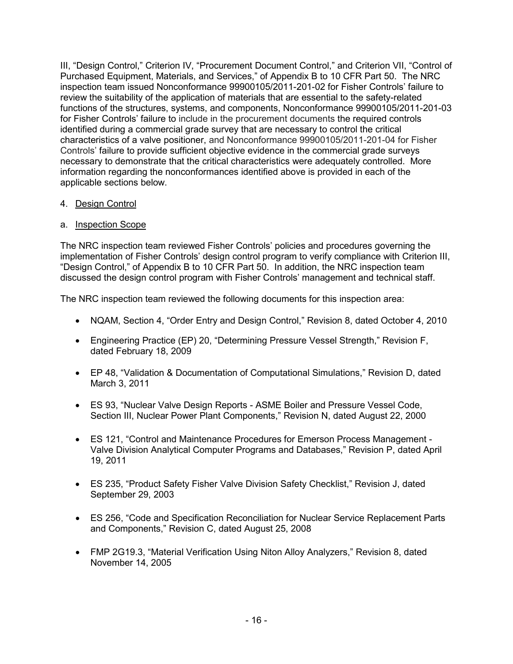III, "Design Control," Criterion IV, "Procurement Document Control," and Criterion VII, "Control of Purchased Equipment, Materials, and Services," of Appendix B to 10 CFR Part 50. The NRC inspection team issued Nonconformance 99900105/2011-201-02 for Fisher Controls' failure to review the suitability of the application of materials that are essential to the safety-related functions of the structures, systems, and components, Nonconformance 99900105/2011-201-03 for Fisher Controls' failure to include in the procurement documents the required controls identified during a commercial grade survey that are necessary to control the critical characteristics of a valve positioner, and Nonconformance 99900105/2011-201-04 for Fisher Controls' failure to provide sufficient objective evidence in the commercial grade surveys necessary to demonstrate that the critical characteristics were adequately controlled. More information regarding the nonconformances identified above is provided in each of the applicable sections below.

## 4. Design Control

## a. Inspection Scope

The NRC inspection team reviewed Fisher Controls' policies and procedures governing the implementation of Fisher Controls' design control program to verify compliance with Criterion III, "Design Control," of Appendix B to 10 CFR Part 50. In addition, the NRC inspection team discussed the design control program with Fisher Controls' management and technical staff.

The NRC inspection team reviewed the following documents for this inspection area:

- NQAM, Section 4, "Order Entry and Design Control," Revision 8, dated October 4, 2010
- Engineering Practice (EP) 20, "Determining Pressure Vessel Strength," Revision F, dated February 18, 2009
- EP 48, "Validation & Documentation of Computational Simulations," Revision D, dated March 3, 2011
- ES 93, "Nuclear Valve Design Reports ASME Boiler and Pressure Vessel Code, Section III, Nuclear Power Plant Components," Revision N, dated August 22, 2000
- ES 121, "Control and Maintenance Procedures for Emerson Process Management Valve Division Analytical Computer Programs and Databases," Revision P, dated April 19, 2011
- ES 235, "Product Safety Fisher Valve Division Safety Checklist," Revision J, dated September 29, 2003
- ES 256, "Code and Specification Reconciliation for Nuclear Service Replacement Parts and Components," Revision C, dated August 25, 2008
- FMP 2G19.3, "Material Verification Using Niton Alloy Analyzers," Revision 8, dated November 14, 2005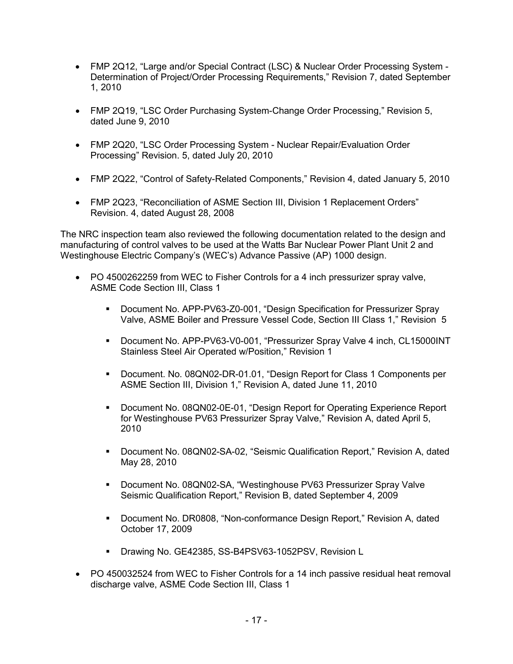- FMP 2Q12, "Large and/or Special Contract (LSC) & Nuclear Order Processing System Determination of Project/Order Processing Requirements," Revision 7, dated September 1, 2010
- FMP 2Q19, "LSC Order Purchasing System-Change Order Processing," Revision 5, dated June 9, 2010
- FMP 2Q20, "LSC Order Processing System Nuclear Repair/Evaluation Order Processing" Revision. 5, dated July 20, 2010
- FMP 2Q22, "Control of Safety-Related Components," Revision 4, dated January 5, 2010
- FMP 2Q23, "Reconciliation of ASME Section III, Division 1 Replacement Orders" Revision. 4, dated August 28, 2008

The NRC inspection team also reviewed the following documentation related to the design and manufacturing of control valves to be used at the Watts Bar Nuclear Power Plant Unit 2 and Westinghouse Electric Company's (WEC's) Advance Passive (AP) 1000 design.

- PO 4500262259 from WEC to Fisher Controls for a 4 inch pressurizer spray valve, ASME Code Section III, Class 1
	- Document No. APP-PV63-Z0-001, "Design Specification for Pressurizer Spray Valve, ASME Boiler and Pressure Vessel Code, Section III Class 1," Revision 5
	- Document No. APP-PV63-V0-001, "Pressurizer Spray Valve 4 inch, CL15000INT Stainless Steel Air Operated w/Position," Revision 1
	- Document. No. 08QN02-DR-01.01, "Design Report for Class 1 Components per ASME Section III, Division 1," Revision A, dated June 11, 2010
	- Document No. 08QN02-0E-01, "Design Report for Operating Experience Report for Westinghouse PV63 Pressurizer Spray Valve," Revision A, dated April 5, 2010
	- Document No. 08QN02-SA-02, "Seismic Qualification Report," Revision A, dated May 28, 2010
	- Document No. 08QN02-SA, "Westinghouse PV63 Pressurizer Spray Valve Seismic Qualification Report," Revision B, dated September 4, 2009
	- Document No. DR0808, "Non-conformance Design Report," Revision A, dated October 17, 2009
	- **Drawing No. GE42385, SS-B4PSV63-1052PSV, Revision L**
- PO 450032524 from WEC to Fisher Controls for a 14 inch passive residual heat removal discharge valve, ASME Code Section III, Class 1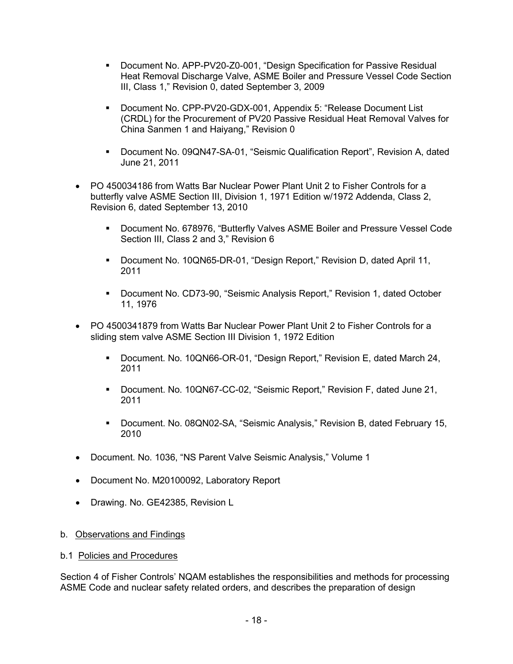- Document No. APP-PV20-Z0-001, "Design Specification for Passive Residual Heat Removal Discharge Valve, ASME Boiler and Pressure Vessel Code Section III, Class 1," Revision 0, dated September 3, 2009
- Document No. CPP-PV20-GDX-001, Appendix 5: "Release Document List (CRDL) for the Procurement of PV20 Passive Residual Heat Removal Valves for China Sanmen 1 and Haiyang," Revision 0
- Document No. 09QN47-SA-01, "Seismic Qualification Report", Revision A, dated June 21, 2011
- PO 450034186 from Watts Bar Nuclear Power Plant Unit 2 to Fisher Controls for a butterfly valve ASME Section III, Division 1, 1971 Edition w/1972 Addenda, Class 2, Revision 6, dated September 13, 2010
	- Document No. 678976, "Butterfly Valves ASME Boiler and Pressure Vessel Code Section III, Class 2 and 3," Revision 6
	- Document No. 10QN65-DR-01, "Design Report," Revision D, dated April 11, 2011
	- Document No. CD73-90, "Seismic Analysis Report," Revision 1, dated October 11, 1976
- PO 4500341879 from Watts Bar Nuclear Power Plant Unit 2 to Fisher Controls for a sliding stem valve ASME Section III Division 1, 1972 Edition
	- Document. No. 10QN66-OR-01, "Design Report," Revision E, dated March 24, 2011
	- Document. No. 10QN67-CC-02, "Seismic Report," Revision F, dated June 21, 2011
	- Document. No. 08QN02-SA, "Seismic Analysis," Revision B, dated February 15, 2010
- Document. No. 1036, "NS Parent Valve Seismic Analysis," Volume 1
- Document No. M20100092, Laboratory Report
- Drawing. No. GE42385, Revision L
- b. Observations and Findings
- b.1 Policies and Procedures

Section 4 of Fisher Controls' NQAM establishes the responsibilities and methods for processing ASME Code and nuclear safety related orders, and describes the preparation of design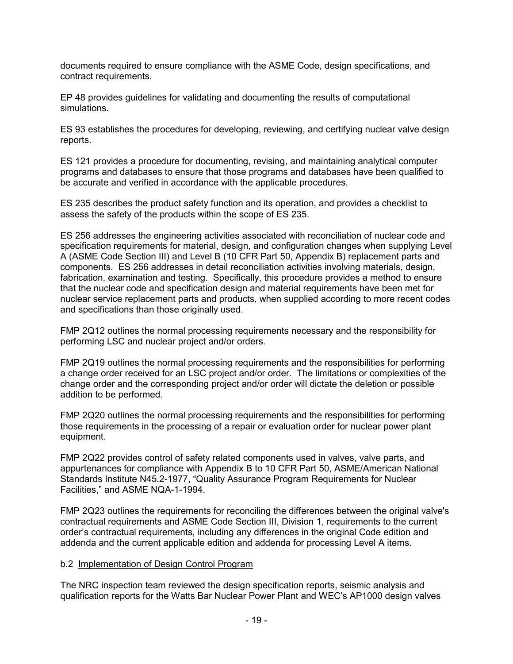documents required to ensure compliance with the ASME Code, design specifications, and contract requirements.

EP 48 provides guidelines for validating and documenting the results of computational simulations.

ES 93 establishes the procedures for developing, reviewing, and certifying nuclear valve design reports.

ES 121 provides a procedure for documenting, revising, and maintaining analytical computer programs and databases to ensure that those programs and databases have been qualified to be accurate and verified in accordance with the applicable procedures.

ES 235 describes the product safety function and its operation, and provides a checklist to assess the safety of the products within the scope of ES 235.

ES 256 addresses the engineering activities associated with reconciliation of nuclear code and specification requirements for material, design, and configuration changes when supplying Level A (ASME Code Section III) and Level B (10 CFR Part 50, Appendix B) replacement parts and components. ES 256 addresses in detail reconciliation activities involving materials, design, fabrication, examination and testing. Specifically, this procedure provides a method to ensure that the nuclear code and specification design and material requirements have been met for nuclear service replacement parts and products, when supplied according to more recent codes and specifications than those originally used.

FMP 2Q12 outlines the normal processing requirements necessary and the responsibility for performing LSC and nuclear project and/or orders.

FMP 2Q19 outlines the normal processing requirements and the responsibilities for performing a change order received for an LSC project and/or order. The limitations or complexities of the change order and the corresponding project and/or order will dictate the deletion or possible addition to be performed.

FMP 2Q20 outlines the normal processing requirements and the responsibilities for performing those requirements in the processing of a repair or evaluation order for nuclear power plant equipment.

FMP 2Q22 provides control of safety related components used in valves, valve parts, and appurtenances for compliance with Appendix B to 10 CFR Part 50, ASME/American National Standards Institute N45.2-1977, "Quality Assurance Program Requirements for Nuclear Facilities," and ASME NQA-1-1994.

FMP 2Q23 outlines the requirements for reconciling the differences between the original valve's contractual requirements and ASME Code Section III, Division 1, requirements to the current order's contractual requirements, including any differences in the original Code edition and addenda and the current applicable edition and addenda for processing Level A items.

## b.2 Implementation of Design Control Program

The NRC inspection team reviewed the design specification reports, seismic analysis and qualification reports for the Watts Bar Nuclear Power Plant and WEC's AP1000 design valves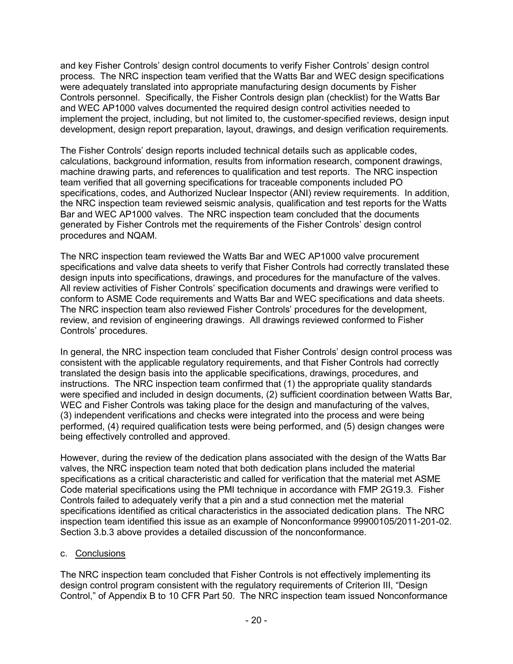and key Fisher Controls' design control documents to verify Fisher Controls' design control process. The NRC inspection team verified that the Watts Bar and WEC design specifications were adequately translated into appropriate manufacturing design documents by Fisher Controls personnel. Specifically, the Fisher Controls design plan (checklist) for the Watts Bar and WEC AP1000 valves documented the required design control activities needed to implement the project, including, but not limited to, the customer-specified reviews, design input development, design report preparation, layout, drawings, and design verification requirements.

The Fisher Controls' design reports included technical details such as applicable codes, calculations, background information, results from information research, component drawings, machine drawing parts, and references to qualification and test reports. The NRC inspection team verified that all governing specifications for traceable components included PO specifications, codes, and Authorized Nuclear Inspector (ANI) review requirements. In addition, the NRC inspection team reviewed seismic analysis, qualification and test reports for the Watts Bar and WEC AP1000 valves. The NRC inspection team concluded that the documents generated by Fisher Controls met the requirements of the Fisher Controls' design control procedures and NQAM.

The NRC inspection team reviewed the Watts Bar and WEC AP1000 valve procurement specifications and valve data sheets to verify that Fisher Controls had correctly translated these design inputs into specifications, drawings, and procedures for the manufacture of the valves. All review activities of Fisher Controls' specification documents and drawings were verified to conform to ASME Code requirements and Watts Bar and WEC specifications and data sheets. The NRC inspection team also reviewed Fisher Controls' procedures for the development, review, and revision of engineering drawings. All drawings reviewed conformed to Fisher Controls' procedures.

In general, the NRC inspection team concluded that Fisher Controls' design control process was consistent with the applicable regulatory requirements, and that Fisher Controls had correctly translated the design basis into the applicable specifications, drawings, procedures, and instructions. The NRC inspection team confirmed that (1) the appropriate quality standards were specified and included in design documents, (2) sufficient coordination between Watts Bar, WEC and Fisher Controls was taking place for the design and manufacturing of the valves, (3) independent verifications and checks were integrated into the process and were being performed, (4) required qualification tests were being performed, and (5) design changes were being effectively controlled and approved.

However, during the review of the dedication plans associated with the design of the Watts Bar valves, the NRC inspection team noted that both dedication plans included the material specifications as a critical characteristic and called for verification that the material met ASME Code material specifications using the PMI technique in accordance with FMP 2G19.3. Fisher Controls failed to adequately verify that a pin and a stud connection met the material specifications identified as critical characteristics in the associated dedication plans. The NRC inspection team identified this issue as an example of Nonconformance 99900105/2011-201-02. Section 3.b.3 above provides a detailed discussion of the nonconformance.

### c. Conclusions

The NRC inspection team concluded that Fisher Controls is not effectively implementing its design control program consistent with the regulatory requirements of Criterion III, "Design Control," of Appendix B to 10 CFR Part 50. The NRC inspection team issued Nonconformance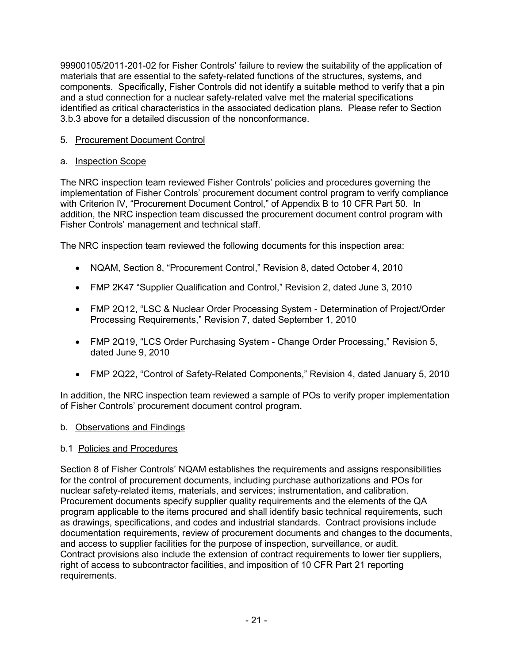99900105/2011-201-02 for Fisher Controls' failure to review the suitability of the application of materials that are essential to the safety-related functions of the structures, systems, and components. Specifically, Fisher Controls did not identify a suitable method to verify that a pin and a stud connection for a nuclear safety-related valve met the material specifications identified as critical characteristics in the associated dedication plans. Please refer to Section 3.b.3 above for a detailed discussion of the nonconformance.

## 5. Procurement Document Control

## a. Inspection Scope

The NRC inspection team reviewed Fisher Controls' policies and procedures governing the implementation of Fisher Controls' procurement document control program to verify compliance with Criterion IV, "Procurement Document Control," of Appendix B to 10 CFR Part 50. In addition, the NRC inspection team discussed the procurement document control program with Fisher Controls' management and technical staff.

The NRC inspection team reviewed the following documents for this inspection area:

- NQAM, Section 8, "Procurement Control," Revision 8, dated October 4, 2010
- FMP 2K47 "Supplier Qualification and Control," Revision 2, dated June 3, 2010
- FMP 2Q12, "LSC & Nuclear Order Processing System Determination of Project/Order Processing Requirements," Revision 7, dated September 1, 2010
- FMP 2Q19, "LCS Order Purchasing System Change Order Processing," Revision 5, dated June 9, 2010
- FMP 2Q22, "Control of Safety-Related Components," Revision 4, dated January 5, 2010

In addition, the NRC inspection team reviewed a sample of POs to verify proper implementation of Fisher Controls' procurement document control program.

## b. Observations and Findings

## b.1 Policies and Procedures

Section 8 of Fisher Controls' NQAM establishes the requirements and assigns responsibilities for the control of procurement documents, including purchase authorizations and POs for nuclear safety-related items, materials, and services; instrumentation, and calibration. Procurement documents specify supplier quality requirements and the elements of the QA program applicable to the items procured and shall identify basic technical requirements, such as drawings, specifications, and codes and industrial standards. Contract provisions include documentation requirements, review of procurement documents and changes to the documents, and access to supplier facilities for the purpose of inspection, surveillance, or audit. Contract provisions also include the extension of contract requirements to lower tier suppliers, right of access to subcontractor facilities, and imposition of 10 CFR Part 21 reporting requirements.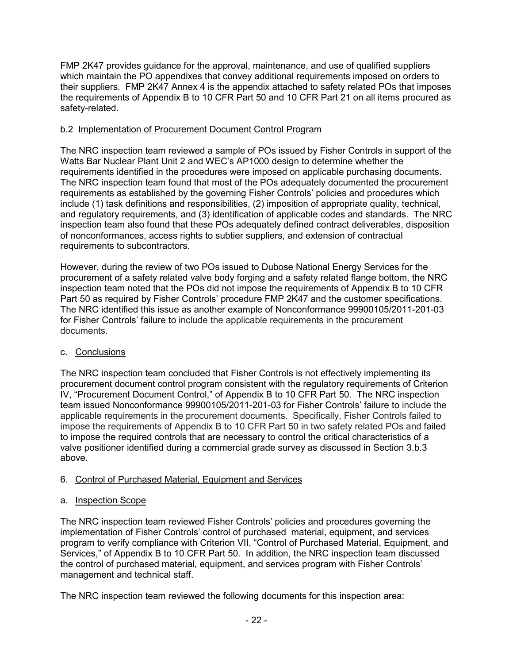FMP 2K47 provides guidance for the approval, maintenance, and use of qualified suppliers which maintain the PO appendixes that convey additional requirements imposed on orders to their suppliers. FMP 2K47 Annex 4 is the appendix attached to safety related POs that imposes the requirements of Appendix B to 10 CFR Part 50 and 10 CFR Part 21 on all items procured as safety-related.

## b.2 Implementation of Procurement Document Control Program

The NRC inspection team reviewed a sample of POs issued by Fisher Controls in support of the Watts Bar Nuclear Plant Unit 2 and WEC's AP1000 design to determine whether the requirements identified in the procedures were imposed on applicable purchasing documents. The NRC inspection team found that most of the POs adequately documented the procurement requirements as established by the governing Fisher Controls' policies and procedures which include (1) task definitions and responsibilities, (2) imposition of appropriate quality, technical, and regulatory requirements, and (3) identification of applicable codes and standards. The NRC inspection team also found that these POs adequately defined contract deliverables, disposition of nonconformances, access rights to subtier suppliers, and extension of contractual requirements to subcontractors.

However, during the review of two POs issued to Dubose National Energy Services for the procurement of a safety related valve body forging and a safety related flange bottom, the NRC inspection team noted that the POs did not impose the requirements of Appendix B to 10 CFR Part 50 as required by Fisher Controls' procedure FMP 2K47 and the customer specifications. The NRC identified this issue as another example of Nonconformance 99900105/2011-201-03 for Fisher Controls' failure to include the applicable requirements in the procurement documents.

## c. Conclusions

The NRC inspection team concluded that Fisher Controls is not effectively implementing its procurement document control program consistent with the regulatory requirements of Criterion IV, "Procurement Document Control," of Appendix B to 10 CFR Part 50. The NRC inspection team issued Nonconformance 99900105/2011-201-03 for Fisher Controls' failure to include the applicable requirements in the procurement documents. Specifically, Fisher Controls failed to impose the requirements of Appendix B to 10 CFR Part 50 in two safety related POs and failed to impose the required controls that are necessary to control the critical characteristics of a valve positioner identified during a commercial grade survey as discussed in Section 3.b.3 above.

## 6. Control of Purchased Material, Equipment and Services

## a. Inspection Scope

The NRC inspection team reviewed Fisher Controls' policies and procedures governing the implementation of Fisher Controls' control of purchased material, equipment, and services program to verify compliance with Criterion VII, "Control of Purchased Material, Equipment, and Services," of Appendix B to 10 CFR Part 50. In addition, the NRC inspection team discussed the control of purchased material, equipment, and services program with Fisher Controls' management and technical staff.

The NRC inspection team reviewed the following documents for this inspection area: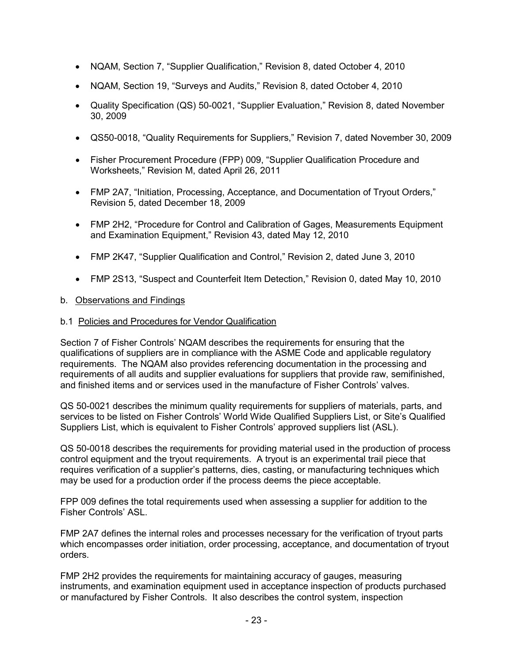- NQAM, Section 7, "Supplier Qualification," Revision 8, dated October 4, 2010
- NQAM, Section 19, "Surveys and Audits," Revision 8, dated October 4, 2010
- Quality Specification (QS) 50-0021, "Supplier Evaluation," Revision 8, dated November 30, 2009
- QS50-0018, "Quality Requirements for Suppliers," Revision 7, dated November 30, 2009
- Fisher Procurement Procedure (FPP) 009, "Supplier Qualification Procedure and Worksheets," Revision M, dated April 26, 2011
- FMP 2A7, "Initiation, Processing, Acceptance, and Documentation of Tryout Orders," Revision 5, dated December 18, 2009
- FMP 2H2, "Procedure for Control and Calibration of Gages, Measurements Equipment and Examination Equipment," Revision 43, dated May 12, 2010
- FMP 2K47, "Supplier Qualification and Control," Revision 2, dated June 3, 2010
- FMP 2S13, "Suspect and Counterfeit Item Detection," Revision 0, dated May 10, 2010

### b. Observations and Findings

#### b.1 Policies and Procedures for Vendor Qualification

Section 7 of Fisher Controls' NQAM describes the requirements for ensuring that the qualifications of suppliers are in compliance with the ASME Code and applicable regulatory requirements. The NQAM also provides referencing documentation in the processing and requirements of all audits and supplier evaluations for suppliers that provide raw, semifinished, and finished items and or services used in the manufacture of Fisher Controls' valves.

QS 50-0021 describes the minimum quality requirements for suppliers of materials, parts, and services to be listed on Fisher Controls' World Wide Qualified Suppliers List, or Site's Qualified Suppliers List, which is equivalent to Fisher Controls' approved suppliers list (ASL).

QS 50-0018 describes the requirements for providing material used in the production of process control equipment and the tryout requirements. A tryout is an experimental trail piece that requires verification of a supplier's patterns, dies, casting, or manufacturing techniques which may be used for a production order if the process deems the piece acceptable.

FPP 009 defines the total requirements used when assessing a supplier for addition to the Fisher Controls' ASL.

FMP 2A7 defines the internal roles and processes necessary for the verification of tryout parts which encompasses order initiation, order processing, acceptance, and documentation of tryout orders.

FMP 2H2 provides the requirements for maintaining accuracy of gauges, measuring instruments, and examination equipment used in acceptance inspection of products purchased or manufactured by Fisher Controls. It also describes the control system, inspection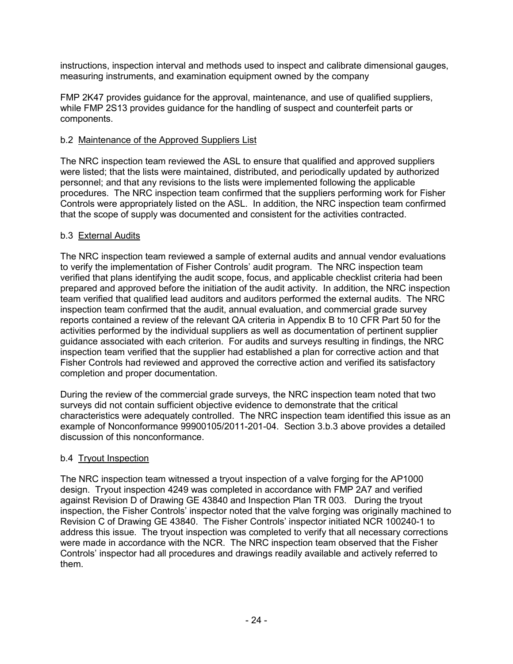instructions, inspection interval and methods used to inspect and calibrate dimensional gauges, measuring instruments, and examination equipment owned by the company

FMP 2K47 provides guidance for the approval, maintenance, and use of qualified suppliers, while FMP 2S13 provides guidance for the handling of suspect and counterfeit parts or components.

## b.2 Maintenance of the Approved Suppliers List

The NRC inspection team reviewed the ASL to ensure that qualified and approved suppliers were listed; that the lists were maintained, distributed, and periodically updated by authorized personnel; and that any revisions to the lists were implemented following the applicable procedures. The NRC inspection team confirmed that the suppliers performing work for Fisher Controls were appropriately listed on the ASL. In addition, the NRC inspection team confirmed that the scope of supply was documented and consistent for the activities contracted.

## b.3 External Audits

The NRC inspection team reviewed a sample of external audits and annual vendor evaluations to verify the implementation of Fisher Controls' audit program. The NRC inspection team verified that plans identifying the audit scope, focus, and applicable checklist criteria had been prepared and approved before the initiation of the audit activity. In addition, the NRC inspection team verified that qualified lead auditors and auditors performed the external audits. The NRC inspection team confirmed that the audit, annual evaluation, and commercial grade survey reports contained a review of the relevant QA criteria in Appendix B to 10 CFR Part 50 for the activities performed by the individual suppliers as well as documentation of pertinent supplier guidance associated with each criterion. For audits and surveys resulting in findings, the NRC inspection team verified that the supplier had established a plan for corrective action and that Fisher Controls had reviewed and approved the corrective action and verified its satisfactory completion and proper documentation.

During the review of the commercial grade surveys, the NRC inspection team noted that two surveys did not contain sufficient objective evidence to demonstrate that the critical characteristics were adequately controlled. The NRC inspection team identified this issue as an example of Nonconformance 99900105/2011-201-04. Section 3.b.3 above provides a detailed discussion of this nonconformance.

## b.4 Tryout Inspection

The NRC inspection team witnessed a tryout inspection of a valve forging for the AP1000 design. Tryout inspection 4249 was completed in accordance with FMP 2A7 and verified against Revision D of Drawing GE 43840 and Inspection Plan TR 003. During the tryout inspection, the Fisher Controls' inspector noted that the valve forging was originally machined to Revision C of Drawing GE 43840. The Fisher Controls' inspector initiated NCR 100240-1 to address this issue. The tryout inspection was completed to verify that all necessary corrections were made in accordance with the NCR. The NRC inspection team observed that the Fisher Controls' inspector had all procedures and drawings readily available and actively referred to them.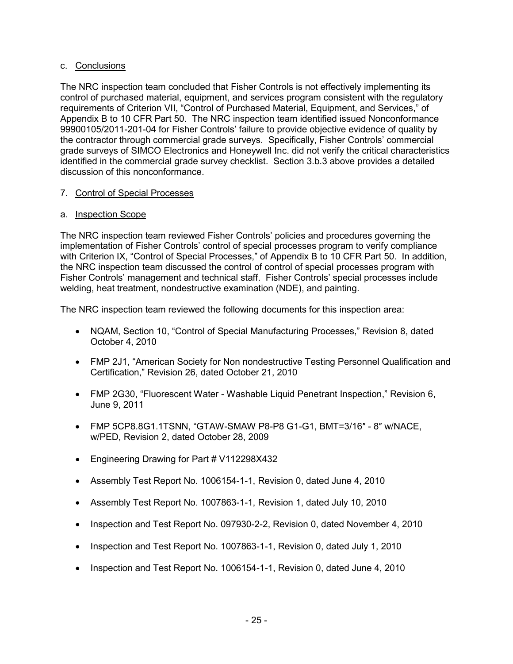## c. Conclusions

The NRC inspection team concluded that Fisher Controls is not effectively implementing its control of purchased material, equipment, and services program consistent with the regulatory requirements of Criterion VII, "Control of Purchased Material, Equipment, and Services," of Appendix B to 10 CFR Part 50. The NRC inspection team identified issued Nonconformance 99900105/2011-201-04 for Fisher Controls' failure to provide objective evidence of quality by the contractor through commercial grade surveys. Specifically, Fisher Controls' commercial grade surveys of SIMCO Electronics and Honeywell Inc. did not verify the critical characteristics identified in the commercial grade survey checklist. Section 3.b.3 above provides a detailed discussion of this nonconformance.

## 7. Control of Special Processes

## a. Inspection Scope

The NRC inspection team reviewed Fisher Controls' policies and procedures governing the implementation of Fisher Controls' control of special processes program to verify compliance with Criterion IX, "Control of Special Processes," of Appendix B to 10 CFR Part 50. In addition, the NRC inspection team discussed the control of control of special processes program with Fisher Controls' management and technical staff. Fisher Controls' special processes include welding, heat treatment, nondestructive examination (NDE), and painting.

The NRC inspection team reviewed the following documents for this inspection area:

- NQAM, Section 10, "Control of Special Manufacturing Processes," Revision 8, dated October 4, 2010
- FMP 2J1, "American Society for Non nondestructive Testing Personnel Qualification and Certification," Revision 26, dated October 21, 2010
- FMP 2G30, "Fluorescent Water Washable Liquid Penetrant Inspection," Revision 6, June 9, 2011
- FMP 5CP8.8G1.1TSNN, "GTAW-SMAW P8-P8 G1-G1, BMT=3/16″ 8″ w/NACE, w/PED, Revision 2, dated October 28, 2009
- Engineering Drawing for Part # V112298X432
- Assembly Test Report No. 1006154-1-1, Revision 0, dated June 4, 2010
- Assembly Test Report No. 1007863-1-1, Revision 1, dated July 10, 2010
- Inspection and Test Report No. 097930-2-2, Revision 0, dated November 4, 2010
- Inspection and Test Report No. 1007863-1-1, Revision 0, dated July 1, 2010
- Inspection and Test Report No. 1006154-1-1, Revision 0, dated June 4, 2010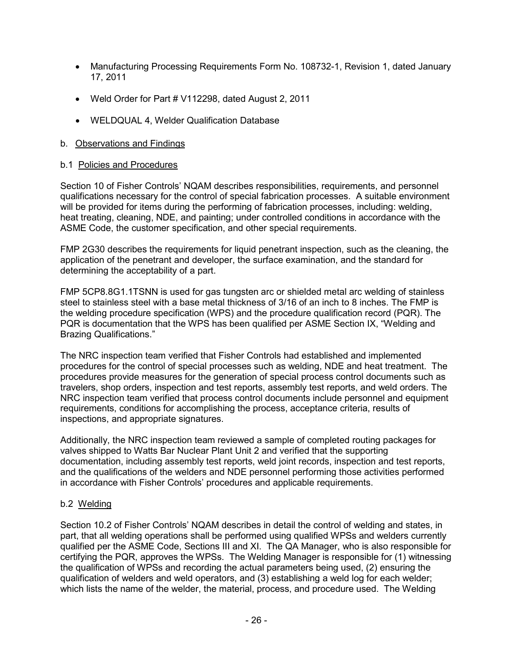- Manufacturing Processing Requirements Form No. 108732-1, Revision 1, dated January 17, 2011
- Weld Order for Part # V112298, dated August 2, 2011
- WELDQUAL 4, Welder Qualification Database

## b. Observations and Findings

## b.1 Policies and Procedures

Section 10 of Fisher Controls' NQAM describes responsibilities, requirements, and personnel qualifications necessary for the control of special fabrication processes. A suitable environment will be provided for items during the performing of fabrication processes, including: welding, heat treating, cleaning, NDE, and painting; under controlled conditions in accordance with the ASME Code, the customer specification, and other special requirements.

FMP 2G30 describes the requirements for liquid penetrant inspection, such as the cleaning, the application of the penetrant and developer, the surface examination, and the standard for determining the acceptability of a part.

FMP 5CP8.8G1.1TSNN is used for gas tungsten arc or shielded metal arc welding of stainless steel to stainless steel with a base metal thickness of 3/16 of an inch to 8 inches. The FMP is the welding procedure specification (WPS) and the procedure qualification record (PQR). The PQR is documentation that the WPS has been qualified per ASME Section IX, "Welding and Brazing Qualifications."

The NRC inspection team verified that Fisher Controls had established and implemented procedures for the control of special processes such as welding, NDE and heat treatment. The procedures provide measures for the generation of special process control documents such as travelers, shop orders, inspection and test reports, assembly test reports, and weld orders. The NRC inspection team verified that process control documents include personnel and equipment requirements, conditions for accomplishing the process, acceptance criteria, results of inspections, and appropriate signatures.

Additionally, the NRC inspection team reviewed a sample of completed routing packages for valves shipped to Watts Bar Nuclear Plant Unit 2 and verified that the supporting documentation, including assembly test reports, weld joint records, inspection and test reports, and the qualifications of the welders and NDE personnel performing those activities performed in accordance with Fisher Controls' procedures and applicable requirements.

## b.2 Welding

Section 10.2 of Fisher Controls' NQAM describes in detail the control of welding and states, in part, that all welding operations shall be performed using qualified WPSs and welders currently qualified per the ASME Code, Sections III and XI. The QA Manager, who is also responsible for certifying the PQR, approves the WPSs. The Welding Manager is responsible for (1) witnessing the qualification of WPSs and recording the actual parameters being used, (2) ensuring the qualification of welders and weld operators, and (3) establishing a weld log for each welder; which lists the name of the welder, the material, process, and procedure used. The Welding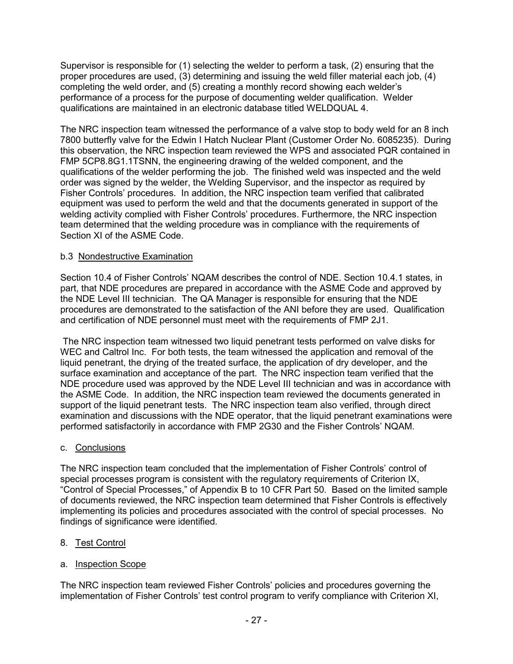Supervisor is responsible for (1) selecting the welder to perform a task, (2) ensuring that the proper procedures are used, (3) determining and issuing the weld filler material each job, (4) completing the weld order, and (5) creating a monthly record showing each welder's performance of a process for the purpose of documenting welder qualification. Welder qualifications are maintained in an electronic database titled WELDQUAL 4.

The NRC inspection team witnessed the performance of a valve stop to body weld for an 8 inch 7800 butterfly valve for the Edwin I Hatch Nuclear Plant (Customer Order No. 6085235). During this observation, the NRC inspection team reviewed the WPS and associated PQR contained in FMP 5CP8.8G1.1TSNN, the engineering drawing of the welded component, and the qualifications of the welder performing the job. The finished weld was inspected and the weld order was signed by the welder, the Welding Supervisor, and the inspector as required by Fisher Controls' procedures. In addition, the NRC inspection team verified that calibrated equipment was used to perform the weld and that the documents generated in support of the welding activity complied with Fisher Controls' procedures. Furthermore, the NRC inspection team determined that the welding procedure was in compliance with the requirements of Section XI of the ASME Code.

## b.3 Nondestructive Examination

Section 10.4 of Fisher Controls' NQAM describes the control of NDE. Section 10.4.1 states, in part, that NDE procedures are prepared in accordance with the ASME Code and approved by the NDE Level III technician. The QA Manager is responsible for ensuring that the NDE procedures are demonstrated to the satisfaction of the ANI before they are used. Qualification and certification of NDE personnel must meet with the requirements of FMP 2J1.

The NRC inspection team witnessed two liquid penetrant tests performed on valve disks for WEC and Caltrol Inc. For both tests, the team witnessed the application and removal of the liquid penetrant, the drying of the treated surface, the application of dry developer, and the surface examination and acceptance of the part. The NRC inspection team verified that the NDE procedure used was approved by the NDE Level III technician and was in accordance with the ASME Code. In addition, the NRC inspection team reviewed the documents generated in support of the liquid penetrant tests. The NRC inspection team also verified, through direct examination and discussions with the NDE operator, that the liquid penetrant examinations were performed satisfactorily in accordance with FMP 2G30 and the Fisher Controls' NQAM.

### c. Conclusions

The NRC inspection team concluded that the implementation of Fisher Controls' control of special processes program is consistent with the regulatory requirements of Criterion IX, "Control of Special Processes," of Appendix B to 10 CFR Part 50. Based on the limited sample of documents reviewed, the NRC inspection team determined that Fisher Controls is effectively implementing its policies and procedures associated with the control of special processes. No findings of significance were identified.

## 8. Test Control

### a. Inspection Scope

The NRC inspection team reviewed Fisher Controls' policies and procedures governing the implementation of Fisher Controls' test control program to verify compliance with Criterion XI,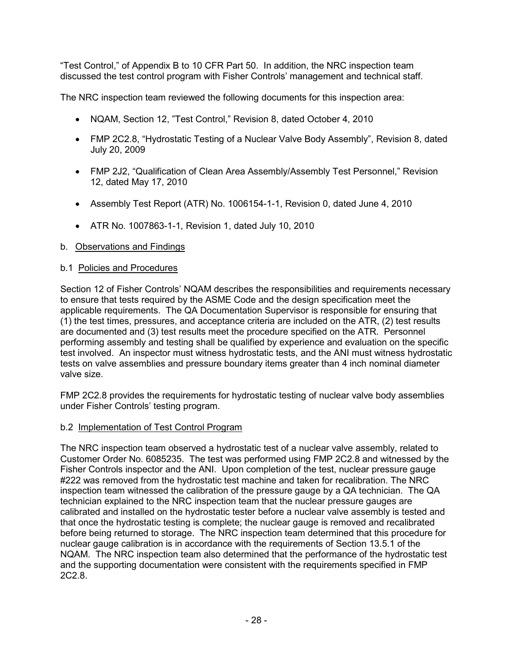"Test Control," of Appendix B to 10 CFR Part 50. In addition, the NRC inspection team discussed the test control program with Fisher Controls' management and technical staff.

The NRC inspection team reviewed the following documents for this inspection area:

- NQAM, Section 12, "Test Control," Revision 8, dated October 4, 2010
- FMP 2C2.8, "Hydrostatic Testing of a Nuclear Valve Body Assembly", Revision 8, dated July 20, 2009
- FMP 2J2, "Qualification of Clean Area Assembly/Assembly Test Personnel," Revision 12, dated May 17, 2010
- Assembly Test Report (ATR) No. 1006154-1-1, Revision 0, dated June 4, 2010
- ATR No. 1007863-1-1, Revision 1, dated July 10, 2010

## b. Observations and Findings

## b.1 Policies and Procedures

Section 12 of Fisher Controls' NQAM describes the responsibilities and requirements necessary to ensure that tests required by the ASME Code and the design specification meet the applicable requirements. The QA Documentation Supervisor is responsible for ensuring that (1) the test times, pressures, and acceptance criteria are included on the ATR, (2) test results are documented and (3) test results meet the procedure specified on the ATR. Personnel performing assembly and testing shall be qualified by experience and evaluation on the specific test involved. An inspector must witness hydrostatic tests, and the ANI must witness hydrostatic tests on valve assemblies and pressure boundary items greater than 4 inch nominal diameter valve size.

FMP 2C2.8 provides the requirements for hydrostatic testing of nuclear valve body assemblies under Fisher Controls' testing program.

### b.2 Implementation of Test Control Program

The NRC inspection team observed a hydrostatic test of a nuclear valve assembly, related to Customer Order No. 6085235. The test was performed using FMP 2C2.8 and witnessed by the Fisher Controls inspector and the ANI. Upon completion of the test, nuclear pressure gauge #222 was removed from the hydrostatic test machine and taken for recalibration. The NRC inspection team witnessed the calibration of the pressure gauge by a QA technician. The QA technician explained to the NRC inspection team that the nuclear pressure gauges are calibrated and installed on the hydrostatic tester before a nuclear valve assembly is tested and that once the hydrostatic testing is complete; the nuclear gauge is removed and recalibrated before being returned to storage. The NRC inspection team determined that this procedure for nuclear gauge calibration is in accordance with the requirements of Section 13.5.1 of the NQAM. The NRC inspection team also determined that the performance of the hydrostatic test and the supporting documentation were consistent with the requirements specified in FMP 2C2.8.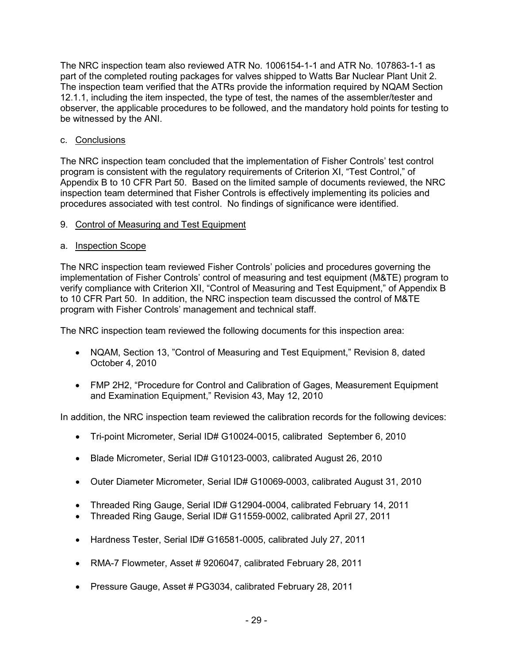The NRC inspection team also reviewed ATR No. 1006154-1-1 and ATR No. 107863-1-1 as part of the completed routing packages for valves shipped to Watts Bar Nuclear Plant Unit 2. The inspection team verified that the ATRs provide the information required by NQAM Section 12.1.1, including the item inspected, the type of test, the names of the assembler/tester and observer, the applicable procedures to be followed, and the mandatory hold points for testing to be witnessed by the ANI.

## c. Conclusions

The NRC inspection team concluded that the implementation of Fisher Controls' test control program is consistent with the regulatory requirements of Criterion XI, "Test Control," of Appendix B to 10 CFR Part 50. Based on the limited sample of documents reviewed, the NRC inspection team determined that Fisher Controls is effectively implementing its policies and procedures associated with test control. No findings of significance were identified.

## 9. Control of Measuring and Test Equipment

## a. Inspection Scope

The NRC inspection team reviewed Fisher Controls' policies and procedures governing the implementation of Fisher Controls' control of measuring and test equipment (M&TE) program to verify compliance with Criterion XII, "Control of Measuring and Test Equipment," of Appendix B to 10 CFR Part 50. In addition, the NRC inspection team discussed the control of M&TE program with Fisher Controls' management and technical staff.

The NRC inspection team reviewed the following documents for this inspection area:

- NQAM, Section 13, "Control of Measuring and Test Equipment," Revision 8, dated October 4, 2010
- FMP 2H2, "Procedure for Control and Calibration of Gages, Measurement Equipment and Examination Equipment," Revision 43, May 12, 2010

In addition, the NRC inspection team reviewed the calibration records for the following devices:

- Tri-point Micrometer, Serial ID# G10024-0015, calibrated September 6, 2010
- Blade Micrometer, Serial ID# G10123-0003, calibrated August 26, 2010
- Outer Diameter Micrometer, Serial ID# G10069-0003, calibrated August 31, 2010
- Threaded Ring Gauge, Serial ID# G12904-0004, calibrated February 14, 2011
- Threaded Ring Gauge, Serial ID# G11559-0002, calibrated April 27, 2011
- Hardness Tester, Serial ID# G16581-0005, calibrated July 27, 2011
- RMA-7 Flowmeter, Asset # 9206047, calibrated February 28, 2011
- Pressure Gauge, Asset # PG3034, calibrated February 28, 2011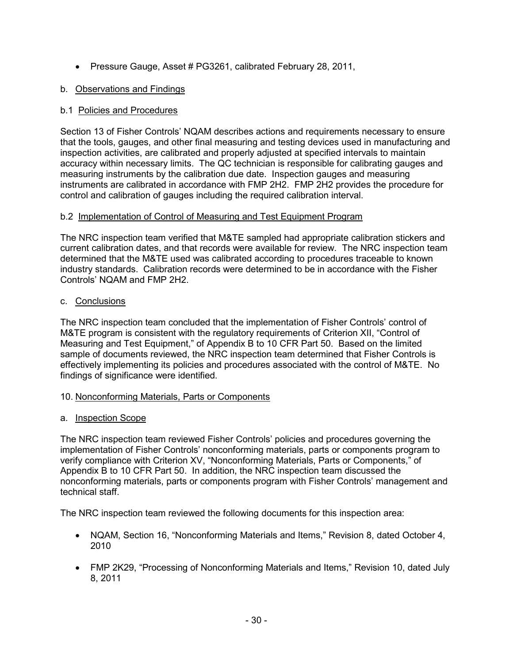• Pressure Gauge, Asset # PG3261, calibrated February 28, 2011,

## b. Observations and Findings

## b.1 Policies and Procedures

Section 13 of Fisher Controls' NQAM describes actions and requirements necessary to ensure that the tools, gauges, and other final measuring and testing devices used in manufacturing and inspection activities, are calibrated and properly adjusted at specified intervals to maintain accuracy within necessary limits. The QC technician is responsible for calibrating gauges and measuring instruments by the calibration due date. Inspection gauges and measuring instruments are calibrated in accordance with FMP 2H2. FMP 2H2 provides the procedure for control and calibration of gauges including the required calibration interval.

## b.2 Implementation of Control of Measuring and Test Equipment Program

The NRC inspection team verified that M&TE sampled had appropriate calibration stickers and current calibration dates, and that records were available for review. The NRC inspection team determined that the M&TE used was calibrated according to procedures traceable to known industry standards. Calibration records were determined to be in accordance with the Fisher Controls' NQAM and FMP 2H2.

## c. Conclusions

The NRC inspection team concluded that the implementation of Fisher Controls' control of M&TE program is consistent with the regulatory requirements of Criterion XII, "Control of Measuring and Test Equipment," of Appendix B to 10 CFR Part 50. Based on the limited sample of documents reviewed, the NRC inspection team determined that Fisher Controls is effectively implementing its policies and procedures associated with the control of M&TE. No findings of significance were identified.

## 10. Nonconforming Materials, Parts or Components

## a. Inspection Scope

The NRC inspection team reviewed Fisher Controls' policies and procedures governing the implementation of Fisher Controls' nonconforming materials, parts or components program to verify compliance with Criterion XV, "Nonconforming Materials, Parts or Components," of Appendix B to 10 CFR Part 50. In addition, the NRC inspection team discussed the nonconforming materials, parts or components program with Fisher Controls' management and technical staff.

The NRC inspection team reviewed the following documents for this inspection area:

- NQAM, Section 16, "Nonconforming Materials and Items," Revision 8, dated October 4, 2010
- FMP 2K29, "Processing of Nonconforming Materials and Items," Revision 10, dated July 8, 2011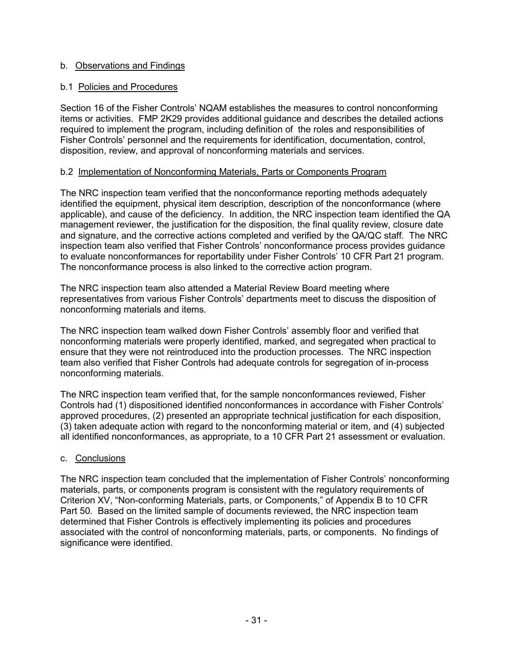## b. Observations and Findings

## b.1 Policies and Procedures

Section 16 of the Fisher Controls' NQAM establishes the measures to control nonconforming items or activities. FMP 2K29 provides additional guidance and describes the detailed actions required to implement the program, including definition of the roles and responsibilities of Fisher Controls' personnel and the requirements for identification, documentation, control, disposition, review, and approval of nonconforming materials and services.

### b.2 Implementation of Nonconforming Materials, Parts or Components Program

The NRC inspection team verified that the nonconformance reporting methods adequately identified the equipment, physical item description, description of the nonconformance (where applicable), and cause of the deficiency. In addition, the NRC inspection team identified the QA management reviewer, the justification for the disposition, the final quality review, closure date and signature, and the corrective actions completed and verified by the QA/QC staff. The NRC inspection team also verified that Fisher Controls' nonconformance process provides guidance to evaluate nonconformances for reportability under Fisher Controls' 10 CFR Part 21 program. The nonconformance process is also linked to the corrective action program.

The NRC inspection team also attended a Material Review Board meeting where representatives from various Fisher Controls' departments meet to discuss the disposition of nonconforming materials and items.

The NRC inspection team walked down Fisher Controls' assembly floor and verified that nonconforming materials were properly identified, marked, and segregated when practical to ensure that they were not reintroduced into the production processes. The NRC inspection team also verified that Fisher Controls had adequate controls for segregation of in-process nonconforming materials.

The NRC inspection team verified that, for the sample nonconformances reviewed, Fisher Controls had (1) dispositioned identified nonconformances in accordance with Fisher Controls' approved procedures, (2) presented an appropriate technical justification for each disposition, (3) taken adequate action with regard to the nonconforming material or item, and (4) subjected all identified nonconformances, as appropriate, to a 10 CFR Part 21 assessment or evaluation.

### c. Conclusions

The NRC inspection team concluded that the implementation of Fisher Controls' nonconforming materials, parts, or components program is consistent with the regulatory requirements of Criterion XV, "Non-conforming Materials, parts, or Components," of Appendix B to 10 CFR Part 50. Based on the limited sample of documents reviewed, the NRC inspection team determined that Fisher Controls is effectively implementing its policies and procedures associated with the control of nonconforming materials, parts, or components. No findings of significance were identified.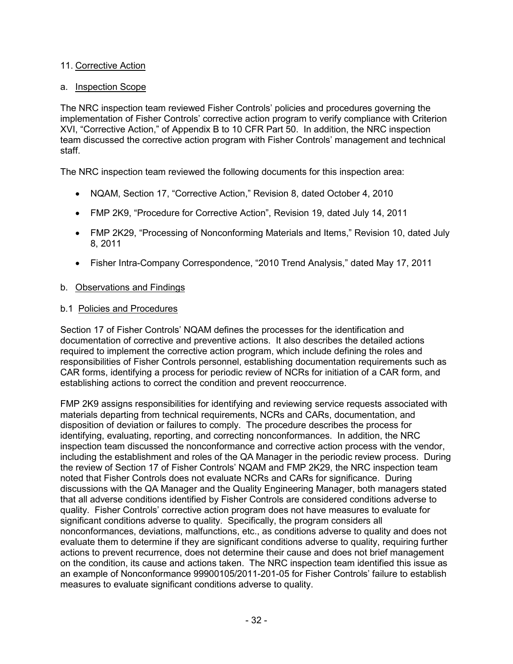## 11. Corrective Action

### a. Inspection Scope

The NRC inspection team reviewed Fisher Controls' policies and procedures governing the implementation of Fisher Controls' corrective action program to verify compliance with Criterion XVI, "Corrective Action," of Appendix B to 10 CFR Part 50. In addition, the NRC inspection team discussed the corrective action program with Fisher Controls' management and technical staff.

The NRC inspection team reviewed the following documents for this inspection area:

- NQAM, Section 17, "Corrective Action," Revision 8, dated October 4, 2010
- FMP 2K9, "Procedure for Corrective Action", Revision 19, dated July 14, 2011
- FMP 2K29, "Processing of Nonconforming Materials and Items," Revision 10, dated July 8, 2011
- Fisher Intra-Company Correspondence, "2010 Trend Analysis," dated May 17, 2011

## b. Observations and Findings

## b.1 Policies and Procedures

Section 17 of Fisher Controls' NQAM defines the processes for the identification and documentation of corrective and preventive actions. It also describes the detailed actions required to implement the corrective action program, which include defining the roles and responsibilities of Fisher Controls personnel, establishing documentation requirements such as CAR forms, identifying a process for periodic review of NCRs for initiation of a CAR form, and establishing actions to correct the condition and prevent reoccurrence.

FMP 2K9 assigns responsibilities for identifying and reviewing service requests associated with materials departing from technical requirements, NCRs and CARs, documentation, and disposition of deviation or failures to comply. The procedure describes the process for identifying, evaluating, reporting, and correcting nonconformances. In addition, the NRC inspection team discussed the nonconformance and corrective action process with the vendor, including the establishment and roles of the QA Manager in the periodic review process. During the review of Section 17 of Fisher Controls' NQAM and FMP 2K29, the NRC inspection team noted that Fisher Controls does not evaluate NCRs and CARs for significance. During discussions with the QA Manager and the Quality Engineering Manager, both managers stated that all adverse conditions identified by Fisher Controls are considered conditions adverse to quality. Fisher Controls' corrective action program does not have measures to evaluate for significant conditions adverse to quality. Specifically, the program considers all nonconformances, deviations, malfunctions, etc., as conditions adverse to quality and does not evaluate them to determine if they are significant conditions adverse to quality, requiring further actions to prevent recurrence, does not determine their cause and does not brief management on the condition, its cause and actions taken. The NRC inspection team identified this issue as an example of Nonconformance 99900105/2011-201-05 for Fisher Controls' failure to establish measures to evaluate significant conditions adverse to quality.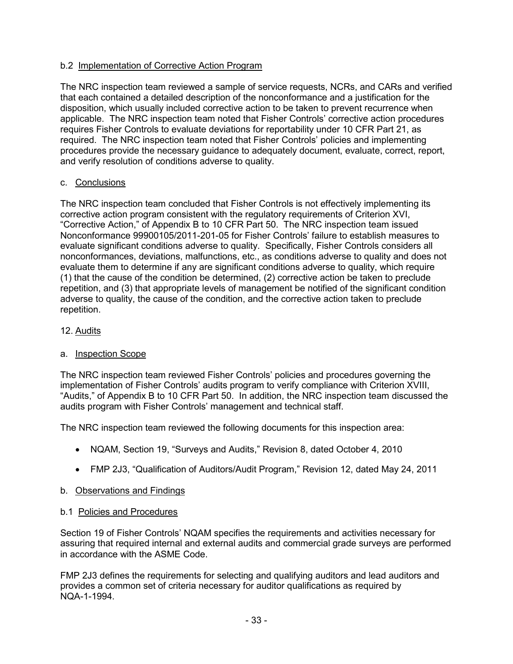## b.2 Implementation of Corrective Action Program

The NRC inspection team reviewed a sample of service requests, NCRs, and CARs and verified that each contained a detailed description of the nonconformance and a justification for the disposition, which usually included corrective action to be taken to prevent recurrence when applicable. The NRC inspection team noted that Fisher Controls' corrective action procedures requires Fisher Controls to evaluate deviations for reportability under 10 CFR Part 21, as required. The NRC inspection team noted that Fisher Controls' policies and implementing procedures provide the necessary guidance to adequately document, evaluate, correct, report, and verify resolution of conditions adverse to quality.

### c. Conclusions

The NRC inspection team concluded that Fisher Controls is not effectively implementing its corrective action program consistent with the regulatory requirements of Criterion XVI, "Corrective Action," of Appendix B to 10 CFR Part 50. The NRC inspection team issued Nonconformance 99900105/2011-201-05 for Fisher Controls' failure to establish measures to evaluate significant conditions adverse to quality. Specifically, Fisher Controls considers all nonconformances, deviations, malfunctions, etc., as conditions adverse to quality and does not evaluate them to determine if any are significant conditions adverse to quality, which require (1) that the cause of the condition be determined, (2) corrective action be taken to preclude repetition, and (3) that appropriate levels of management be notified of the significant condition adverse to quality, the cause of the condition, and the corrective action taken to preclude repetition.

### 12. Audits

### a. Inspection Scope

The NRC inspection team reviewed Fisher Controls' policies and procedures governing the implementation of Fisher Controls' audits program to verify compliance with Criterion XVIII, "Audits," of Appendix B to 10 CFR Part 50. In addition, the NRC inspection team discussed the audits program with Fisher Controls' management and technical staff.

The NRC inspection team reviewed the following documents for this inspection area:

- NQAM, Section 19, "Surveys and Audits," Revision 8, dated October 4, 2010
- FMP 2J3, "Qualification of Auditors/Audit Program," Revision 12, dated May 24, 2011

### b. Observations and Findings

### b.1 Policies and Procedures

Section 19 of Fisher Controls' NQAM specifies the requirements and activities necessary for assuring that required internal and external audits and commercial grade surveys are performed in accordance with the ASME Code.

FMP 2J3 defines the requirements for selecting and qualifying auditors and lead auditors and provides a common set of criteria necessary for auditor qualifications as required by NQA-1-1994.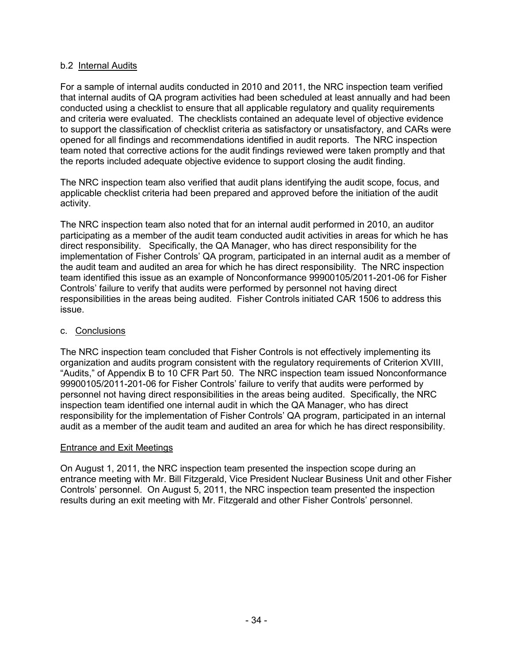## b.2 Internal Audits

For a sample of internal audits conducted in 2010 and 2011, the NRC inspection team verified that internal audits of QA program activities had been scheduled at least annually and had been conducted using a checklist to ensure that all applicable regulatory and quality requirements and criteria were evaluated. The checklists contained an adequate level of objective evidence to support the classification of checklist criteria as satisfactory or unsatisfactory, and CARs were opened for all findings and recommendations identified in audit reports. The NRC inspection team noted that corrective actions for the audit findings reviewed were taken promptly and that the reports included adequate objective evidence to support closing the audit finding.

The NRC inspection team also verified that audit plans identifying the audit scope, focus, and applicable checklist criteria had been prepared and approved before the initiation of the audit activity.

The NRC inspection team also noted that for an internal audit performed in 2010, an auditor participating as a member of the audit team conducted audit activities in areas for which he has direct responsibility. Specifically, the QA Manager, who has direct responsibility for the implementation of Fisher Controls' QA program, participated in an internal audit as a member of the audit team and audited an area for which he has direct responsibility. The NRC inspection team identified this issue as an example of Nonconformance 99900105/2011-201-06 for Fisher Controls' failure to verify that audits were performed by personnel not having direct responsibilities in the areas being audited. Fisher Controls initiated CAR 1506 to address this issue.

### c. Conclusions

The NRC inspection team concluded that Fisher Controls is not effectively implementing its organization and audits program consistent with the regulatory requirements of Criterion XVIII, "Audits," of Appendix B to 10 CFR Part 50. The NRC inspection team issued Nonconformance 99900105/2011-201-06 for Fisher Controls' failure to verify that audits were performed by personnel not having direct responsibilities in the areas being audited. Specifically, the NRC inspection team identified one internal audit in which the QA Manager, who has direct responsibility for the implementation of Fisher Controls' QA program, participated in an internal audit as a member of the audit team and audited an area for which he has direct responsibility.

### Entrance and Exit Meetings

On August 1, 2011, the NRC inspection team presented the inspection scope during an entrance meeting with Mr. Bill Fitzgerald, Vice President Nuclear Business Unit and other Fisher Controls' personnel. On August 5, 2011, the NRC inspection team presented the inspection results during an exit meeting with Mr. Fitzgerald and other Fisher Controls' personnel.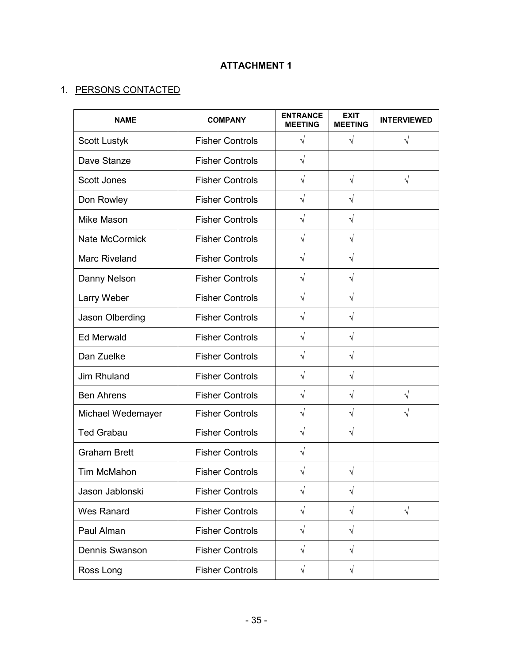# **ATTACHMENT 1**

# 1. PERSONS CONTACTED

| <b>NAME</b>           | <b>COMPANY</b>         | <b>ENTRANCE</b><br><b>MEETING</b> | <b>EXIT</b><br><b>MEETING</b> | <b>INTERVIEWED</b> |
|-----------------------|------------------------|-----------------------------------|-------------------------------|--------------------|
| <b>Scott Lustyk</b>   | <b>Fisher Controls</b> | $\sqrt{}$                         | $\sqrt{}$                     | $\sqrt{}$          |
| Dave Stanze           | <b>Fisher Controls</b> | $\sqrt{}$                         |                               |                    |
| <b>Scott Jones</b>    | <b>Fisher Controls</b> | $\sqrt{}$                         | $\sqrt{}$                     | $\sqrt{}$          |
| Don Rowley            | <b>Fisher Controls</b> | $\sqrt{}$                         | $\sqrt{}$                     |                    |
| Mike Mason            | <b>Fisher Controls</b> | $\sqrt{}$                         | $\sqrt{}$                     |                    |
| <b>Nate McCormick</b> | <b>Fisher Controls</b> | $\sqrt{}$                         | $\sqrt{}$                     |                    |
| <b>Marc Riveland</b>  | <b>Fisher Controls</b> | $\sqrt{}$                         | $\sqrt{}$                     |                    |
| Danny Nelson          | <b>Fisher Controls</b> | $\sqrt{}$                         | $\sqrt{}$                     |                    |
| Larry Weber           | <b>Fisher Controls</b> | $\sqrt{}$                         | $\sqrt{}$                     |                    |
| Jason Olberding       | <b>Fisher Controls</b> | $\sqrt{}$                         | $\sqrt{}$                     |                    |
| <b>Ed Merwald</b>     | <b>Fisher Controls</b> | √                                 | $\sqrt{}$                     |                    |
| Dan Zuelke            | <b>Fisher Controls</b> | $\sqrt{}$                         | $\sqrt{}$                     |                    |
| Jim Rhuland           | <b>Fisher Controls</b> | $\sqrt{}$                         | $\sqrt{}$                     |                    |
| <b>Ben Ahrens</b>     | <b>Fisher Controls</b> | $\sqrt{}$                         | $\sqrt{}$                     | $\sqrt{}$          |
| Michael Wedemayer     | <b>Fisher Controls</b> | $\sqrt{}$                         | $\sqrt{}$                     | $\sqrt{}$          |
| <b>Ted Grabau</b>     | <b>Fisher Controls</b> | V                                 | V                             |                    |
| <b>Graham Brett</b>   | <b>Fisher Controls</b> | $\sqrt{}$                         |                               |                    |
| Tim McMahon           | <b>Fisher Controls</b> | V                                 | V                             |                    |
| Jason Jablonski       | <b>Fisher Controls</b> | $\sqrt{}$                         | $\sqrt{}$                     |                    |
| <b>Wes Ranard</b>     | <b>Fisher Controls</b> | $\sqrt{}$                         | $\sqrt{}$                     | $\sqrt{}$          |
| Paul Alman            | <b>Fisher Controls</b> | $\sqrt{}$                         | $\sqrt{}$                     |                    |
| Dennis Swanson        | <b>Fisher Controls</b> | $\sqrt{}$                         | $\sqrt{}$                     |                    |
| Ross Long             | <b>Fisher Controls</b> | $\sqrt{}$                         | $\sqrt{}$                     |                    |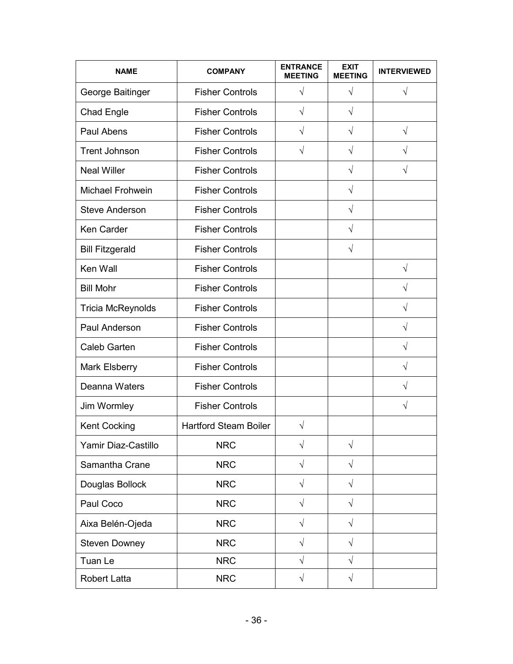| <b>NAME</b>              | <b>COMPANY</b>               | <b>ENTRANCE</b><br><b>MEETING</b> | <b>EXIT</b><br><b>MEETING</b> | <b>INTERVIEWED</b> |
|--------------------------|------------------------------|-----------------------------------|-------------------------------|--------------------|
| George Baitinger         | <b>Fisher Controls</b>       | $\sqrt{ }$                        | $\sqrt{}$                     | $\sqrt{}$          |
| Chad Engle               | <b>Fisher Controls</b>       | $\sqrt{}$                         | $\sqrt{}$                     |                    |
| Paul Abens               | <b>Fisher Controls</b>       | $\sqrt{}$                         | $\sqrt{}$                     | $\sqrt{}$          |
| <b>Trent Johnson</b>     | <b>Fisher Controls</b>       | $\sqrt{}$                         | $\sqrt{}$                     | V                  |
| <b>Neal Willer</b>       | <b>Fisher Controls</b>       |                                   | $\sqrt{}$                     | V                  |
| <b>Michael Frohwein</b>  | <b>Fisher Controls</b>       |                                   | $\sqrt{}$                     |                    |
| <b>Steve Anderson</b>    | <b>Fisher Controls</b>       |                                   | $\sqrt{}$                     |                    |
| Ken Carder               | <b>Fisher Controls</b>       |                                   | $\sqrt{}$                     |                    |
| <b>Bill Fitzgerald</b>   | <b>Fisher Controls</b>       |                                   | $\sqrt{}$                     |                    |
| Ken Wall                 | <b>Fisher Controls</b>       |                                   |                               | V                  |
| <b>Bill Mohr</b>         | <b>Fisher Controls</b>       |                                   |                               | V                  |
| <b>Tricia McReynolds</b> | <b>Fisher Controls</b>       |                                   |                               | V                  |
| Paul Anderson            | <b>Fisher Controls</b>       |                                   |                               | V                  |
| <b>Caleb Garten</b>      | <b>Fisher Controls</b>       |                                   |                               | V                  |
| Mark Elsberry            | <b>Fisher Controls</b>       |                                   |                               | V                  |
| Deanna Waters            | <b>Fisher Controls</b>       |                                   |                               | √                  |
| Jim Wormley              | <b>Fisher Controls</b>       |                                   |                               | V                  |
| <b>Kent Cocking</b>      | <b>Hartford Steam Boiler</b> | V                                 |                               |                    |
| Yamir Diaz-Castillo      | <b>NRC</b>                   | V                                 | V                             |                    |
| Samantha Crane           | <b>NRC</b>                   | $\sqrt{}$                         | $\sqrt{ }$                    |                    |
| Douglas Bollock          | <b>NRC</b>                   | $\sqrt{}$                         | $\sqrt{}$                     |                    |
| Paul Coco                | <b>NRC</b>                   | $\sqrt{}$                         | $\sqrt{}$                     |                    |
| Aixa Belén-Ojeda         | <b>NRC</b>                   | $\sqrt{ }$                        | $\sqrt{}$                     |                    |
| <b>Steven Downey</b>     | <b>NRC</b>                   | $\sqrt{}$                         | $\sqrt{}$                     |                    |
| Tuan Le                  | <b>NRC</b>                   | $\sqrt{}$                         | $\sqrt{}$                     |                    |
| <b>Robert Latta</b>      | <b>NRC</b>                   | $\sqrt{}$                         | $\sqrt{}$                     |                    |